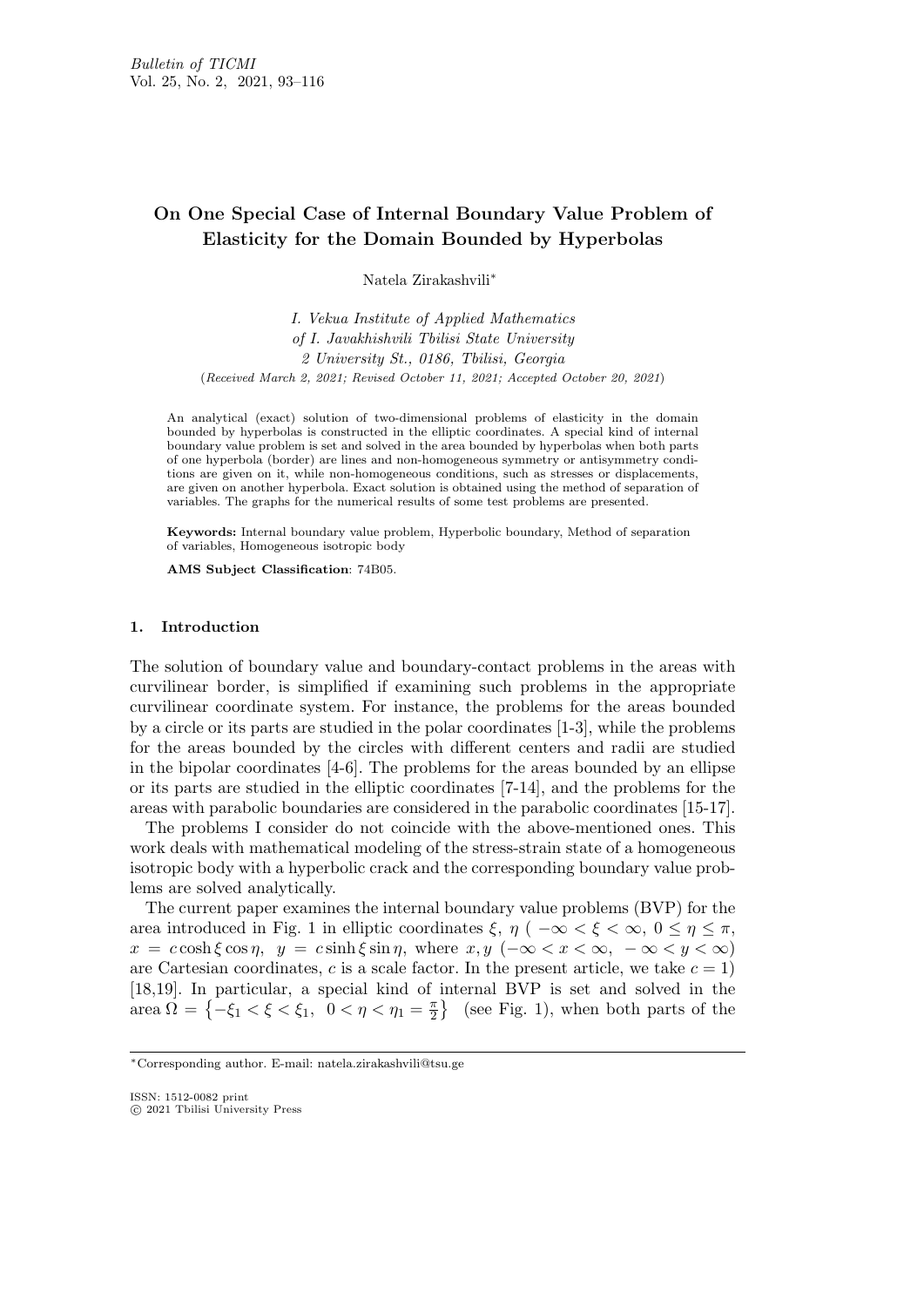# **On One Special Case of Internal Boundary Value Problem of Elasticity for the Domain Bounded by Hyperbolas**

Natela Zirakashvili*∗*

*I. Vekua Institute of Applied Mathematics of I. Javakhishvili Tbilisi State University 2 University St., 0186, Tbilisi, Georgia* (*Received March 2, 2021; Revised October 11, 2021; Accepted October 20, 2021*)

An analytical (exact) solution of two-dimensional problems of elasticity in the domain bounded by hyperbolas is constructed in the elliptic coordinates. A special kind of internal boundary value problem is set and solved in the area bounded by hyperbolas when both parts of one hyperbola (border) are lines and non-homogeneous symmetry or antisymmetry conditions are given on it, while non-homogeneous conditions, such as stresses or displacements, are given on another hyperbola. Exact solution is obtained using the method of separation of variables. The graphs for the numerical results of some test problems are presented.

**Keywords:** Internal boundary value problem, Hyperbolic boundary, Method of separation of variables, Homogeneous isotropic body

**AMS Subject Classification**: 74B05.

### **1. Introduction**

The solution of boundary value and boundary-contact problems in the areas with curvilinear border, is simplified if examining such problems in the appropriate curvilinear coordinate system. For instance, the problems for the areas bounded by a circle or its parts are studied in the polar coordinates [1-3], while the problems for the areas bounded by the circles with different centers and radii are studied in the bipolar coordinates [4-6]. The problems for the areas bounded by an ellipse or its parts are studied in the elliptic coordinates [7-14], and the problems for the areas with parabolic boundaries are considered in the parabolic coordinates [15-17].

The problems I consider do not coincide with the above-mentioned ones. This work deals with mathematical modeling of the stress-strain state of a homogeneous isotropic body with a hyperbolic crack and the corresponding boundary value problems are solved analytically.

The current paper examines the internal boundary value problems (BVP) for the area introduced in Fig. 1 in elliptic coordinates  $\xi$ ,  $\eta$  (  $-\infty < \xi < \infty$ ,  $0 \leq \eta \leq \pi$ , *x* =  $c \cosh \xi \cos \eta$ ,  $y = c \sinh \xi \sin \eta$ , where  $x, y$  ( $-\infty < x < \infty$ ,  $-\infty < y < \infty$ ) are Cartesian coordinates,  $c$  is a scale factor. In the present article, we take  $c = 1$ ) [18,19]. In particular, a special kind of internal BVP is set and solved in the area  $\Omega = \{-\xi_1 < \xi < \xi_1, \ \ 0 < \eta < \eta_1 = \frac{\pi}{2}$  $\frac{\pi}{2}$  (see Fig. 1), when both parts of the

ISSN: 1512-0082 print *⃝*c 2021 Tbilisi University Press

*<sup>∗</sup>*Corresponding author. E-mail: natela.zirakashvili@tsu.ge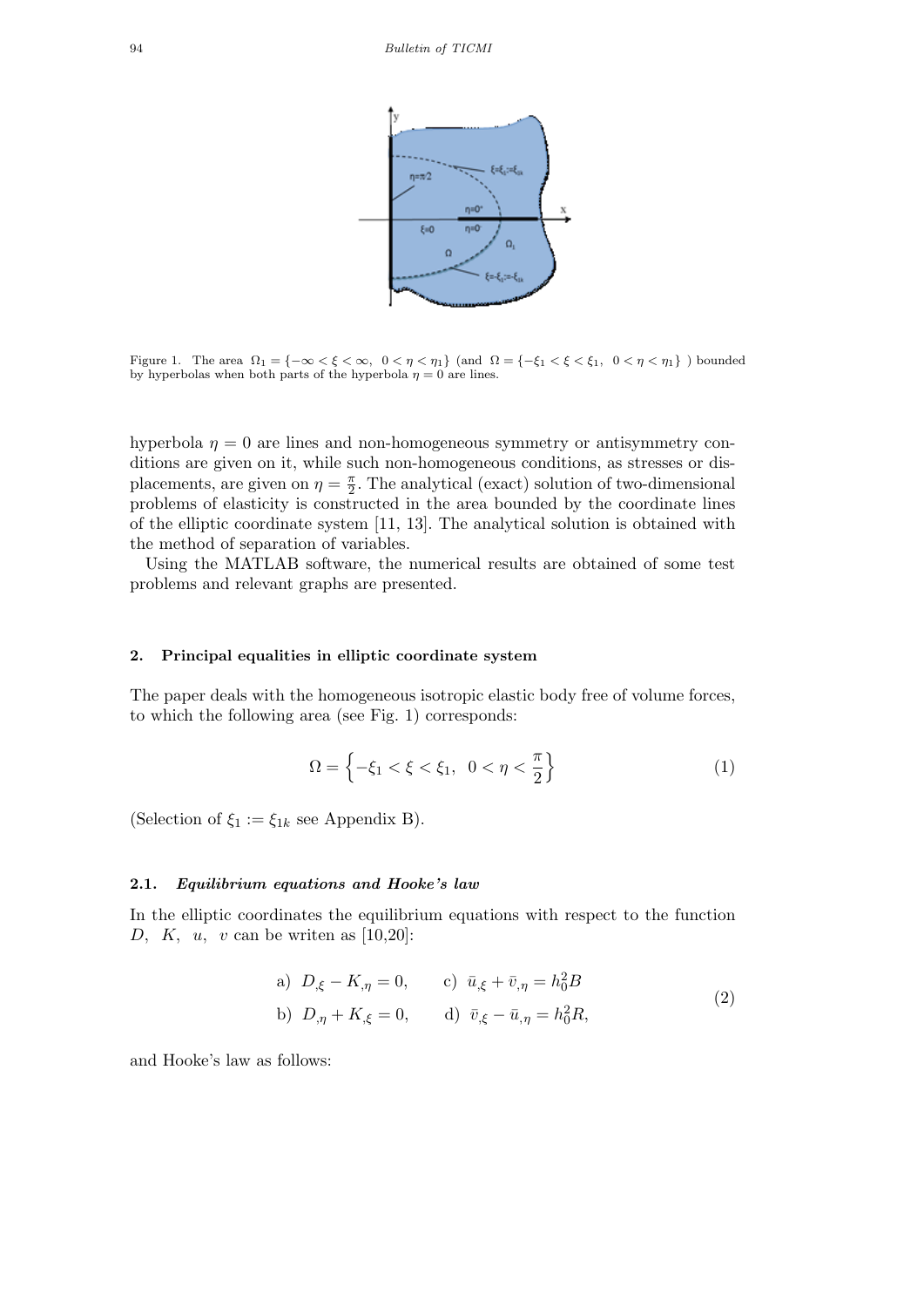

Figure 1. The area  $\Omega_1 = \{-\infty < \xi < \infty, 0 < \eta < \eta_1\}$  (and  $\Omega = \{-\xi_1 < \xi < \xi_1, 0 < \eta < \eta_1\}$ ) bounded by hyperbolas when both parts of the hyperbola  $\eta = 0$  are lines.

hyperbola  $\eta = 0$  are lines and non-homogeneous symmetry or antisymmetry conditions are given on it, while such non-homogeneous conditions, as stresses or displacements, are given on  $\eta = \frac{\pi}{2}$  $\frac{\pi}{2}$ . The analytical (exact) solution of two-dimensional problems of elasticity is constructed in the area bounded by the coordinate lines of the elliptic coordinate system [11, 13]. The analytical solution is obtained with the method of separation of variables.

Using the MATLAB software, the numerical results are obtained of some test problems and relevant graphs are presented.

### **2. Principal equalities in elliptic coordinate system**

The paper deals with the homogeneous isotropic elastic body free of volume forces, to which the following area (see Fig. 1) corresponds:

$$
\Omega = \left\{ -\xi_1 < \xi < \xi_1, \ 0 < \eta < \frac{\pi}{2} \right\} \tag{1}
$$

(Selection of  $\xi_1 := \xi_{1k}$  see Appendix B).

### **2.1.** *Equilibrium equations and Hooke's law*

In the elliptic coordinates the equilibrium equations with respect to the function *D, K, u, v* can be writen as [10,20]:

a) 
$$
D_{,\xi} - K_{,\eta} = 0
$$
, c)  $\bar{u}_{,\xi} + \bar{v}_{,\eta} = h_0^2 B$   
b)  $D_{,\eta} + K_{,\xi} = 0$ , d)  $\bar{v}_{,\xi} - \bar{u}_{,\eta} = h_0^2 R$ , (2)

and Hooke's law as follows: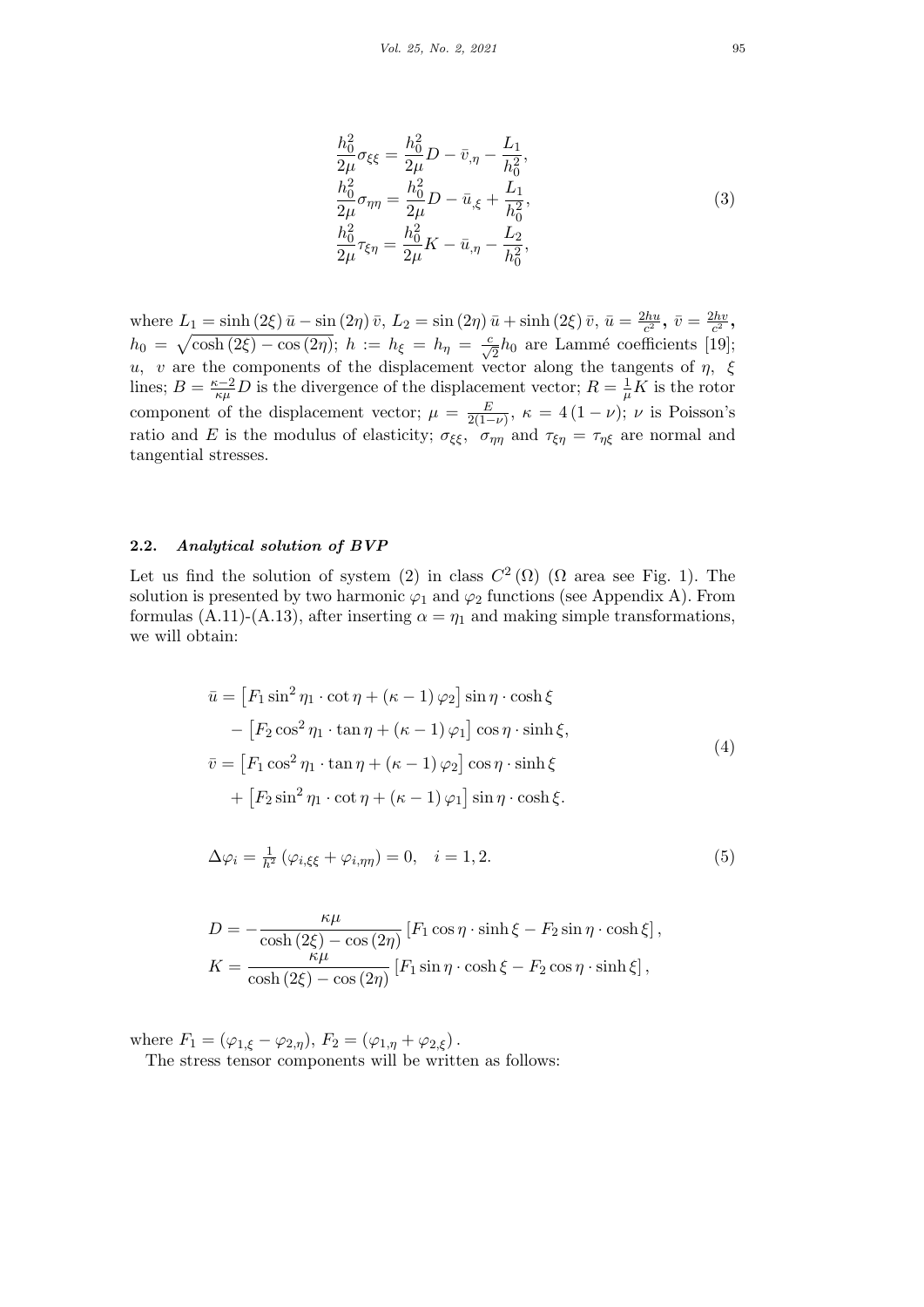$$
\frac{h_0^2}{2\mu}\sigma_{\xi\xi} = \frac{h_0^2}{2\mu}D - \bar{v}_{,\eta} - \frac{L_1}{h_0^2}, \n\frac{h_0^2}{2\mu}\sigma_{\eta\eta} = \frac{h_0^2}{2\mu}D - \bar{u}_{,\xi} + \frac{L_1}{h_0^2}, \n\frac{h_0^2}{2\mu}\tau_{\xi\eta} = \frac{h_0^2}{2\mu}K - \bar{u}_{,\eta} - \frac{L_2}{h_0^2},
$$
\n(3)

where  $L_1 = \sinh(2\xi) \bar{u} - \sin(2\eta) \bar{v}$ ,  $L_2 = \sin(2\eta) \bar{u} + \sinh(2\xi) \bar{v}$ ,  $\bar{u} = \frac{2hu}{c^2}$  $\frac{2hu}{c^2}$ ,  $\bar{v} = \frac{2hv}{c^2}$  $\frac{2hv}{c^2}$  $h_0 = \sqrt{\cosh(2\xi) - \cos(2\eta)}$ ;  $h := h_{\xi} = h_{\eta} = \frac{c}{\sqrt{2}}h_0$  are Lammé coefficients [19]; *u, v* are the components of the displacement vector along the tangents of *η, ξ* lines;  $B = \frac{\kappa - 2}{\kappa \mu} D$  is the divergence of the displacement vector;  $R = \frac{1}{\mu}$  $\frac{1}{\mu}K$  is the rotor component of the displacement vector;  $\mu = \frac{E}{2(1 - \mu)}$  $\frac{E}{2(1-\nu)}$ ,  $\kappa = 4(1-\nu)$ ;  $\nu$  is Poisson's ratio and *E* is the modulus of elasticity;  $\sigma_{\xi\xi}$ ,  $\sigma_{\eta\eta}$  and  $\tau_{\xi\eta} = \tau_{\eta\xi}$  are normal and tangential stresses.

### **2.2.** *Analytical solution of BVP*

Let us find the solution of system (2) in class  $C^2(\Omega)$  ( $\Omega$  area see Fig. 1). The solution is presented by two harmonic  $\varphi_1$  and  $\varphi_2$  functions (see Appendix A). From formulas (A.11)-(A.13), after inserting  $\alpha = \eta_1$  and making simple transformations, we will obtain:

$$
\bar{u} = [F_1 \sin^2 \eta_1 \cdot \cot \eta + (\kappa - 1) \varphi_2] \sin \eta \cdot \cosh \xi \n- [F_2 \cos^2 \eta_1 \cdot \tan \eta + (\kappa - 1) \varphi_1] \cos \eta \cdot \sinh \xi, \n\bar{v} = [F_1 \cos^2 \eta_1 \cdot \tan \eta + (\kappa - 1) \varphi_2] \cos \eta \cdot \sinh \xi \n+ [F_2 \sin^2 \eta_1 \cdot \cot \eta + (\kappa - 1) \varphi_1] \sin \eta \cdot \cosh \xi.
$$
\n(4)

$$
\Delta \varphi_i = \frac{1}{h^2} \left( \varphi_{i,\xi\xi} + \varphi_{i,\eta\eta} \right) = 0, \quad i = 1, 2. \tag{5}
$$

$$
D = -\frac{\kappa\mu}{\cosh\left(2\xi\right) - \cos\left(2\eta\right)} \left[F_1\cos\eta \cdot \sinh\xi - F_2\sin\eta \cdot \cosh\xi\right],
$$
  

$$
K = \frac{\kappa\mu}{\cosh\left(2\xi\right) - \cos\left(2\eta\right)} \left[F_1\sin\eta \cdot \cosh\xi - F_2\cos\eta \cdot \sinh\xi\right],
$$

where  $F_1 = (\varphi_{1,\xi} - \varphi_{2,\eta}), F_2 = (\varphi_{1,\eta} + \varphi_{2,\xi}).$ 

The stress tensor components will be written as follows: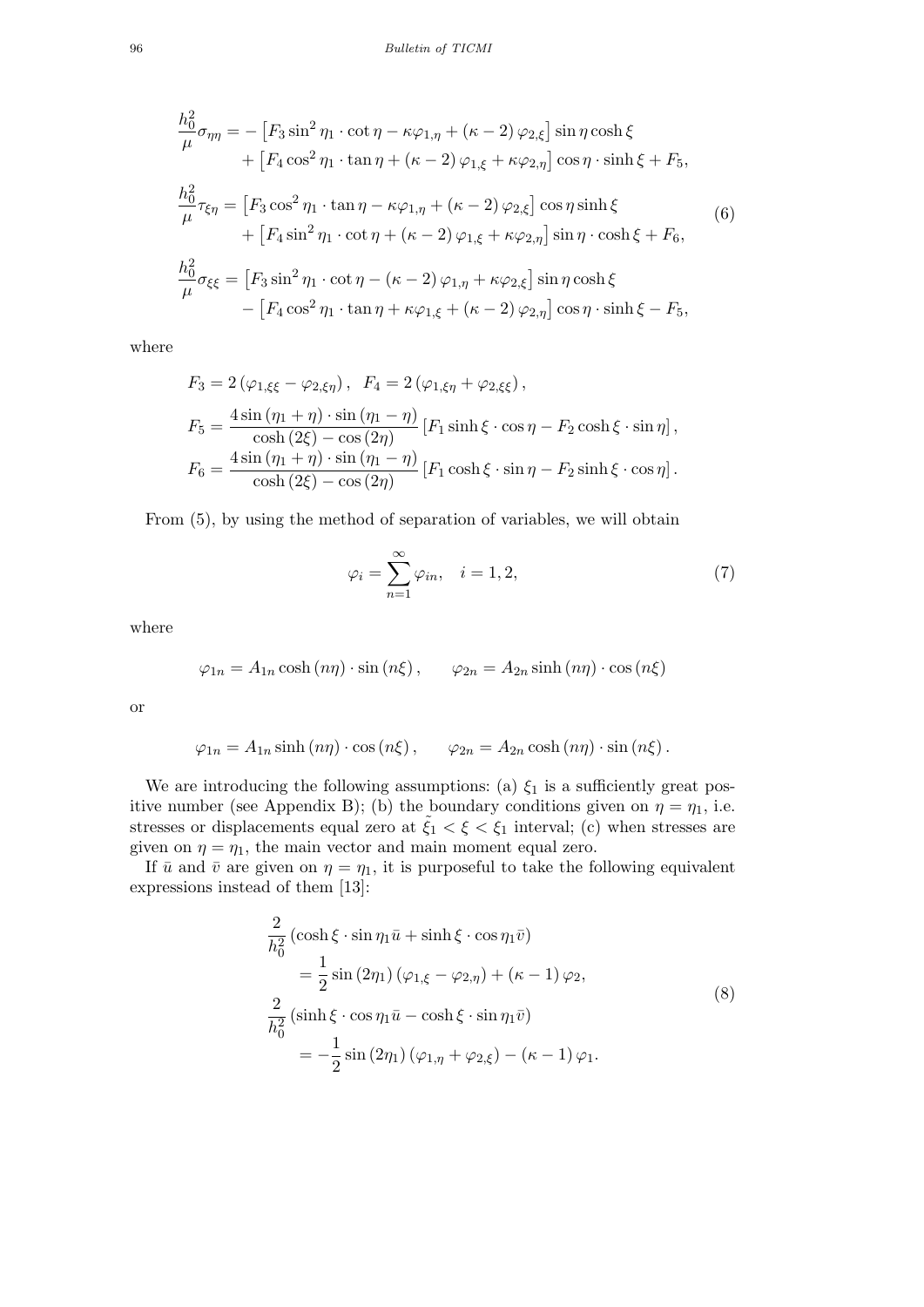$$
\frac{h_0^2}{\mu} \sigma_{\eta\eta} = -\left[F_3 \sin^2 \eta_1 \cdot \cot \eta - \kappa \varphi_{1,\eta} + (\kappa - 2) \varphi_{2,\xi}\right] \sin \eta \cosh \xi \n+ \left[F_4 \cos^2 \eta_1 \cdot \tan \eta + (\kappa - 2) \varphi_{1,\xi} + \kappa \varphi_{2,\eta}\right] \cos \eta \cdot \sinh \xi + F_5, \n\frac{h_0^2}{\mu} \tau_{\xi\eta} = \left[F_3 \cos^2 \eta_1 \cdot \tan \eta - \kappa \varphi_{1,\eta} + (\kappa - 2) \varphi_{2,\xi}\right] \cos \eta \sinh \xi \n+ \left[F_4 \sin^2 \eta_1 \cdot \cot \eta + (\kappa - 2) \varphi_{1,\xi} + \kappa \varphi_{2,\eta}\right] \sin \eta \cdot \cosh \xi + F_6,
$$
\n(6)

$$
\frac{h_0^2}{\mu} \sigma_{\xi\xi} = \left[ F_3 \sin^2 \eta_1 \cdot \cot \eta - (\kappa - 2) \varphi_{1,\eta} + \kappa \varphi_{2,\xi} \right] \sin \eta \cosh \xi \n- \left[ F_4 \cos^2 \eta_1 \cdot \tan \eta + \kappa \varphi_{1,\xi} + (\kappa - 2) \varphi_{2,\eta} \right] \cos \eta \cdot \sinh \xi - F_5,
$$

where

$$
F_3 = 2(\varphi_{1,\xi\xi} - \varphi_{2,\xi\eta}), \quad F_4 = 2(\varphi_{1,\xi\eta} + \varphi_{2,\xi\xi}),
$$
  
\n
$$
F_5 = \frac{4\sin(\eta_1 + \eta) \cdot \sin(\eta_1 - \eta)}{\cosh(2\xi) - \cos(2\eta)} [F_1 \sinh \xi \cdot \cos \eta - F_2 \cosh \xi \cdot \sin \eta],
$$
  
\n
$$
F_6 = \frac{4\sin(\eta_1 + \eta) \cdot \sin(\eta_1 - \eta)}{\cosh(2\xi) - \cos(2\eta)} [F_1 \cosh \xi \cdot \sin \eta - F_2 \sinh \xi \cdot \cos \eta].
$$

From (5), by using the method of separation of variables, we will obtain

$$
\varphi_i = \sum_{n=1}^{\infty} \varphi_{in}, \quad i = 1, 2,
$$
\n(7)

where

$$
\varphi_{1n} = A_{1n} \cosh(n\eta) \cdot \sin(n\xi), \qquad \varphi_{2n} = A_{2n} \sinh(n\eta) \cdot \cos(n\xi)
$$

or

$$
\varphi_{1n} = A_{1n} \sinh(n\eta) \cdot \cos(n\xi), \qquad \varphi_{2n} = A_{2n} \cosh(n\eta) \cdot \sin(n\xi).
$$

We are introducing the following assumptions: (a)  $\xi_1$  is a sufficiently great positive number (see Appendix B); (b) the boundary conditions given on  $\eta = \eta_1$ , i.e. stresses or displacements equal zero at  $\tilde{\xi}_1 < \xi < \xi_1$  interval; (c) when stresses are given on  $\eta = \eta_1$ , the main vector and main moment equal zero.

If  $\bar{u}$  and  $\bar{v}$  are given on  $\eta = \eta_1$ , it is purposeful to take the following equivalent expressions instead of them [13]:

$$
\frac{2}{h_0^2} \left( \cosh \xi \cdot \sin \eta_1 \bar{u} + \sinh \xi \cdot \cos \eta_1 \bar{v} \right)
$$
  
\n
$$
= \frac{1}{2} \sin (2\eta_1) \left( \varphi_{1,\xi} - \varphi_{2,\eta} \right) + \left( \kappa - 1 \right) \varphi_2,
$$
  
\n
$$
\frac{2}{h_0^2} \left( \sinh \xi \cdot \cos \eta_1 \bar{u} - \cosh \xi \cdot \sin \eta_1 \bar{v} \right)
$$
  
\n
$$
= -\frac{1}{2} \sin (2\eta_1) \left( \varphi_{1,\eta} + \varphi_{2,\xi} \right) - \left( \kappa - 1 \right) \varphi_1.
$$
\n(8)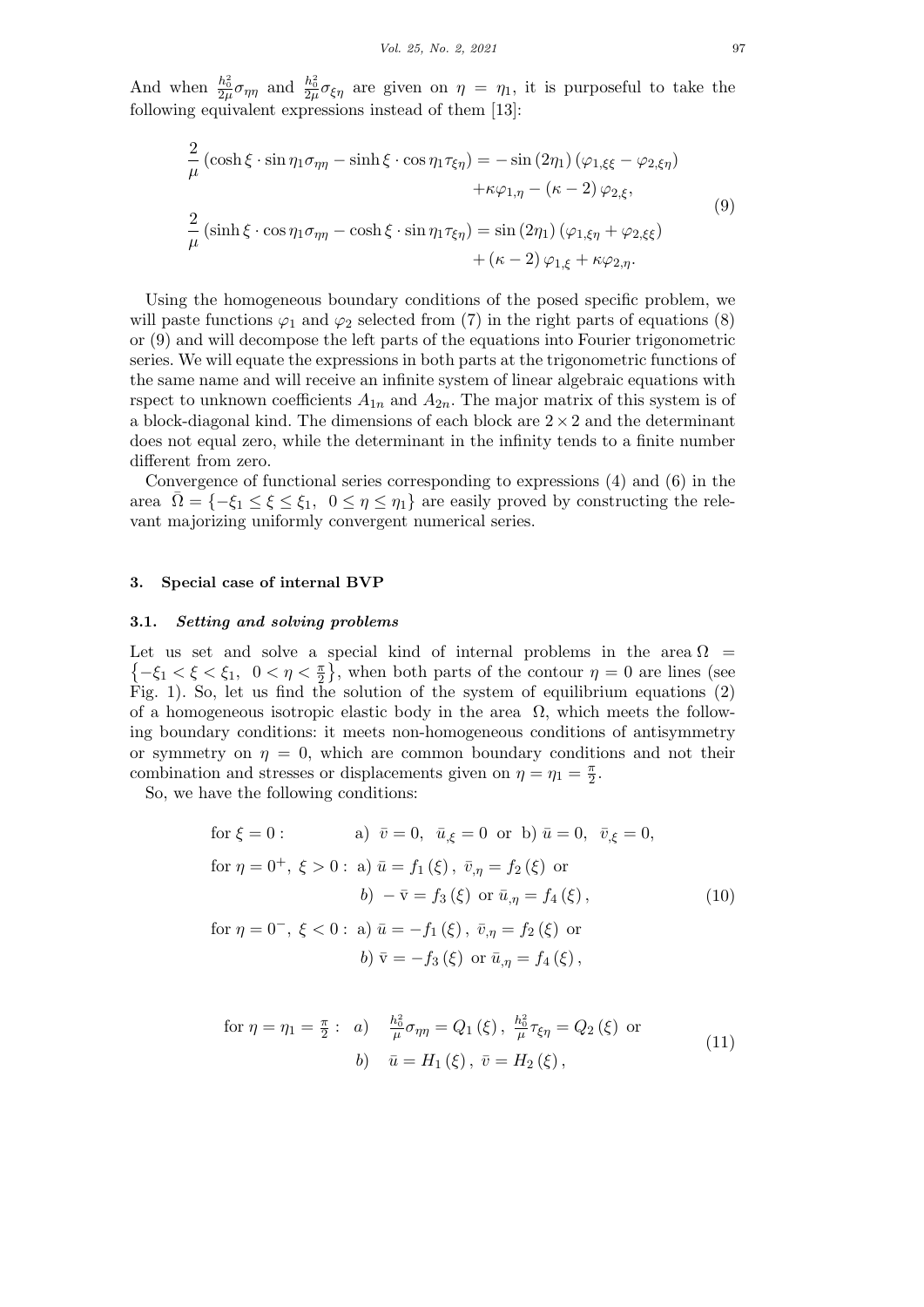And when  $\frac{h_0^2}{2\mu}\sigma_{\eta\eta}$  and  $\frac{h_0^2}{2\mu}\sigma_{\xi\eta}$  are given on  $\eta = \eta_1$ , it is purposeful to take the following equivalent expressions instead of them [13]:

$$
\frac{2}{\mu} \left( \cosh \xi \cdot \sin \eta_1 \sigma_{\eta \eta} - \sinh \xi \cdot \cos \eta_1 \tau_{\xi \eta} \right) = -\sin (2\eta_1) \left( \varphi_{1,\xi\xi} - \varphi_{2,\xi \eta} \right) \n+ \kappa \varphi_{1,\eta} - (\kappa - 2) \varphi_{2,\xi}, \n\frac{2}{\mu} \left( \sinh \xi \cdot \cos \eta_1 \sigma_{\eta \eta} - \cosh \xi \cdot \sin \eta_1 \tau_{\xi \eta} \right) = \sin (2\eta_1) \left( \varphi_{1,\xi \eta} + \varphi_{2,\xi \xi} \right) \n+ (\kappa - 2) \varphi_{1,\xi} + \kappa \varphi_{2,\eta}.
$$
\n(9)

Using the homogeneous boundary conditions of the posed specific problem, we will paste functions  $\varphi_1$  and  $\varphi_2$  selected from (7) in the right parts of equations (8) or (9) and will decompose the left parts of the equations into Fourier trigonometric series. We will equate the expressions in both parts at the trigonometric functions of the same name and will receive an infinite system of linear algebraic equations with rspect to unknown coefficients  $A_{1n}$  and  $A_{2n}$ . The major matrix of this system is of a block-diagonal kind. The dimensions of each block are 2 *×*2 and the determinant does not equal zero, while the determinant in the infinity tends to a finite number different from zero.

Convergence of functional series corresponding to expressions (4) and (6) in the area  $\overline{\Omega} = \{-\xi_1 \leq \xi \leq \xi_1, 0 \leq \eta \leq \eta_1\}$  are easily proved by constructing the relevant majorizing uniformly convergent numerical series.

### **3. Special case of internal BVP**

### **3.1.** *Setting and solving problems*

Let us set and solve a special kind of internal problems in the area  $\Omega$  =  ${-\xi_1 < \xi < \xi_1, 0 < \eta < \frac{\pi}{2}}$ , when both parts of the contour  $\eta = 0$  are lines (see Fig. 1). So, let us find the solution of the system of equilibrium equations (2) of a homogeneous isotropic elastic body in the area  $\Omega$ , which meets the following boundary conditions: it meets non-homogeneous conditions of antisymmetry or symmetry on  $\eta = 0$ , which are common boundary conditions and not their combination and stresses or displacements given on  $\eta = \eta_1 = \frac{\pi}{2}$  $\frac{\pi}{2}$ .

So, we have the following conditions:

for 
$$
\xi = 0
$$
:  
\n(a)  $\bar{v} = 0$ ,  $\bar{u}_{,\xi} = 0$  or b)  $\bar{u} = 0$ ,  $\bar{v}_{,\xi} = 0$ ,  
\nfor  $\eta = 0^+$ ,  $\xi > 0$ : a)  $\bar{u} = f_1(\xi)$ ,  $\bar{v}_{,\eta} = f_2(\xi)$  or  
\n $b) - \bar{v} = f_3(\xi)$  or  $\bar{u}_{,\eta} = f_4(\xi)$ ,  
\nfor  $\eta = 0^-$ ,  $\xi < 0$ : a)  $\bar{u} = -f_1(\xi)$ ,  $\bar{v}_{,\eta} = f_2(\xi)$  or  
\n $b) \bar{v} = -f_3(\xi)$  or  $\bar{u}_{,\eta} = f_4(\xi)$ ,

for 
$$
\eta = \eta_1 = \frac{\pi}{2}
$$
: *a*)  $\frac{h_0^2}{\mu} \sigma_{\eta \eta} = Q_1(\xi), \frac{h_0^2}{\mu} \tau_{\xi \eta} = Q_2(\xi)$  or  
\n*b*)  $\bar{u} = H_1(\xi), \bar{v} = H_2(\xi)$ , (11)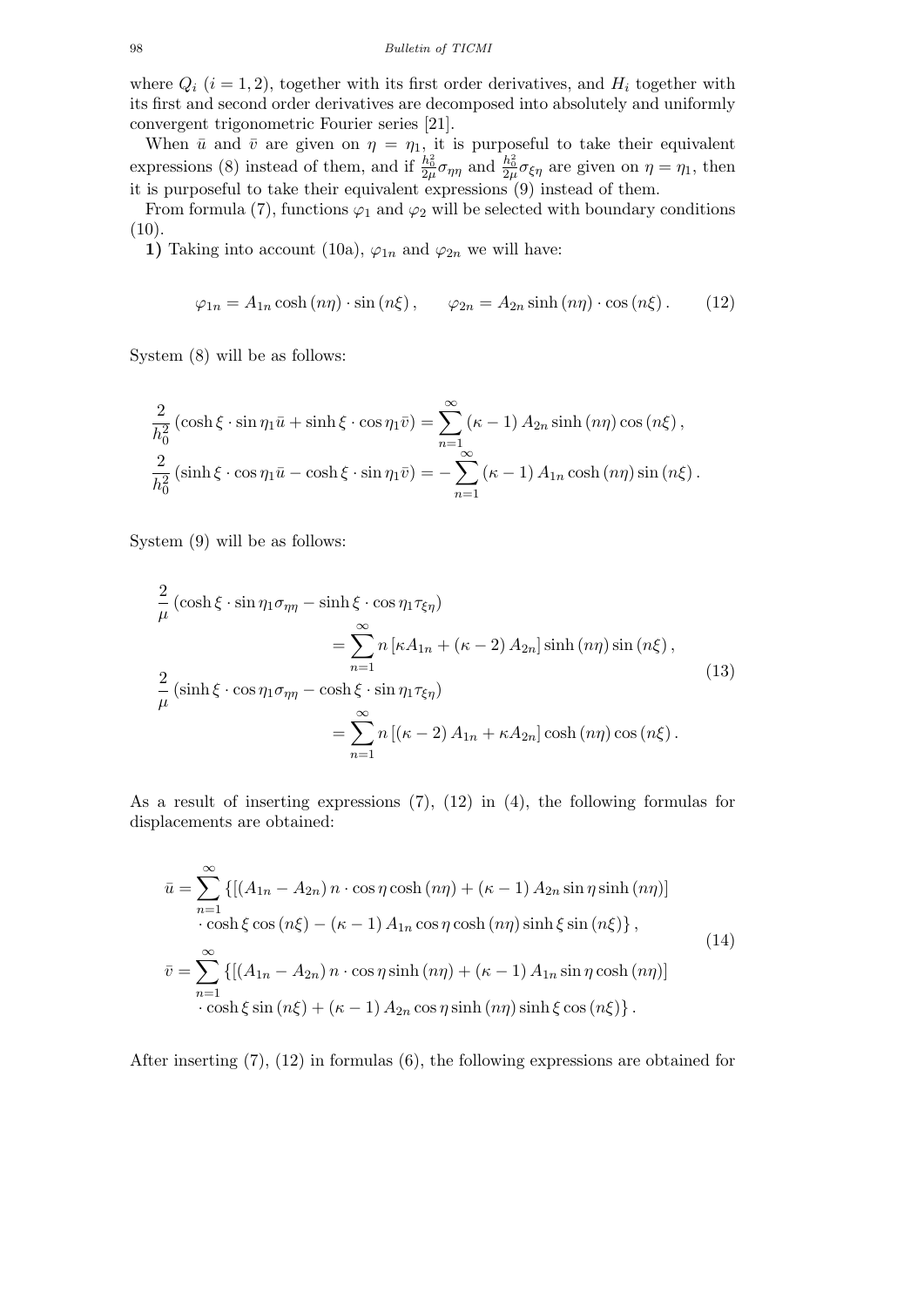where  $Q_i$  ( $i = 1, 2$ ), together with its first order derivatives, and  $H_i$  together with its first and second order derivatives are decomposed into absolutely and uniformly convergent trigonometric Fourier series [21].

When  $\bar{u}$  and  $\bar{v}$  are given on  $\eta = \eta_1$ , it is purposeful to take their equivalent expressions (8) instead of them, and if  $\frac{h_0^2}{2\mu}\sigma_{\eta\eta}$  and  $\frac{h_0^2}{2\mu}\sigma_{\xi\eta}$  are given on  $\eta = \eta_1$ , then it is purposeful to take their equivalent expressions (9) instead of them.

From formula (7), functions  $\varphi_1$  and  $\varphi_2$  will be selected with boundary conditions  $(10).$ 

**1)** Taking into account (10a),  $\varphi_{1n}$  and  $\varphi_{2n}$  we will have:

$$
\varphi_{1n} = A_{1n} \cosh(n\eta) \cdot \sin(n\xi), \qquad \varphi_{2n} = A_{2n} \sinh(n\eta) \cdot \cos(n\xi). \tag{12}
$$

System (8) will be as follows:

$$
\frac{2}{h_0^2} \left( \cosh \xi \cdot \sin \eta_1 \bar{u} + \sinh \xi \cdot \cos \eta_1 \bar{v} \right) = \sum_{n=1}^{\infty} (\kappa - 1) A_{2n} \sinh (n\eta) \cos (n\xi),
$$
  

$$
\frac{2}{h_0^2} \left( \sinh \xi \cdot \cos \eta_1 \bar{u} - \cosh \xi \cdot \sin \eta_1 \bar{v} \right) = -\sum_{n=1}^{\infty} (\kappa - 1) A_{1n} \cosh (n\eta) \sin (n\xi).
$$

System (9) will be as follows:

$$
\frac{2}{\mu} \left( \cosh \xi \cdot \sin \eta_1 \sigma_{\eta \eta} - \sinh \xi \cdot \cos \eta_1 \tau_{\xi \eta} \right)
$$
\n
$$
= \sum_{n=1}^{\infty} n \left[ \kappa A_{1n} + (\kappa - 2) A_{2n} \right] \sinh (n\eta) \sin (n\xi),
$$
\n
$$
\frac{2}{\mu} \left( \sinh \xi \cdot \cos \eta_1 \sigma_{\eta \eta} - \cosh \xi \cdot \sin \eta_1 \tau_{\xi \eta} \right)
$$
\n
$$
= \sum_{n=1}^{\infty} n \left[ (\kappa - 2) A_{1n} + \kappa A_{2n} \right] \cosh (n\eta) \cos (n\xi).
$$
\n(13)

As a result of inserting expressions (7), (12) in (4), the following formulas for displacements are obtained:

$$
\bar{u} = \sum_{n=1}^{\infty} \{ [(A_{1n} - A_{2n}) n \cdot \cos \eta \cosh (n\eta) + (\kappa - 1) A_{2n} \sin \eta \sinh (n\eta)]
$$
  
\n
$$
\cdot \cosh \xi \cos (n\xi) - (\kappa - 1) A_{1n} \cos \eta \cosh (n\eta) \sinh \xi \sin (n\xi) \},
$$
  
\n
$$
\bar{v} = \sum_{n=1}^{\infty} \{ [(A_{1n} - A_{2n}) n \cdot \cos \eta \sinh (n\eta) + (\kappa - 1) A_{1n} \sin \eta \cosh (n\eta)]
$$
  
\n
$$
\cdot \cosh \xi \sin (n\xi) + (\kappa - 1) A_{2n} \cos \eta \sinh (n\eta) \sinh \xi \cos (n\xi) \}.
$$
\n(14)

After inserting (7), (12) in formulas (6), the following expressions are obtained for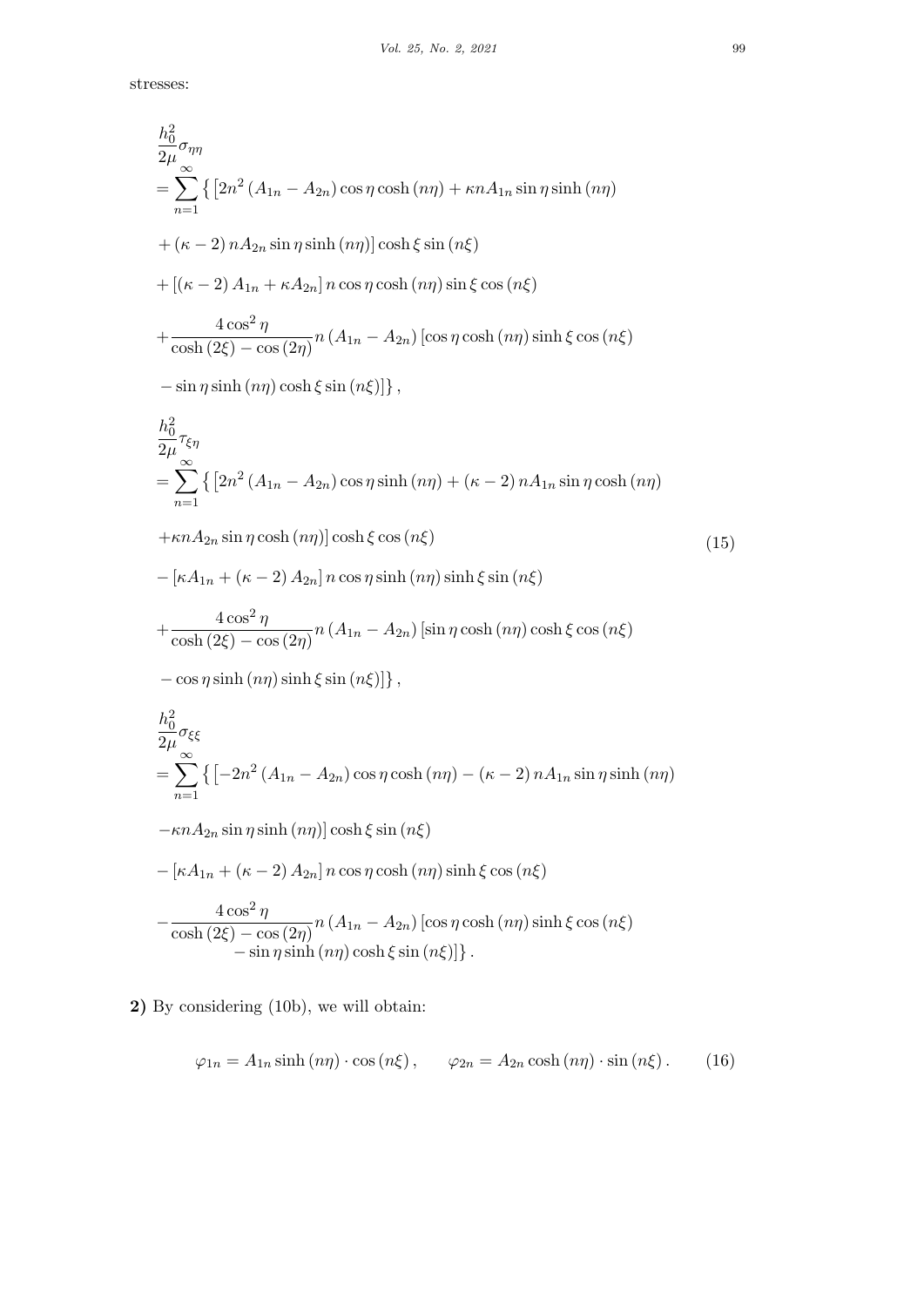stresses:

$$
\frac{h_0^2}{2\mu} \sigma_{\eta\eta}
$$
\n
$$
= \sum_{n=1}^{\infty} \{ [2n^2 (A_{1n} - A_{2n}) \cos \eta \cosh (n\eta) + \kappa n A_{1n} \sin \eta \sinh (n\eta) \]
$$
\n
$$
+ (\kappa - 2) n A_{2n} \sin \eta \sinh (n\eta) ] \cosh \xi \sin (n\xi)
$$
\n
$$
+ [(\kappa - 2) A_{1n} + \kappa A_{2n}] n \cos \eta \cosh (n\eta) \sin \xi \cos (n\xi)
$$
\n
$$
+ \frac{4 \cos^2 \eta}{\cosh (2\xi) - \cos (2\eta)} n (A_{1n} - A_{2n}) [\cos \eta \cosh (n\eta) \sinh \xi \cos (n\xi)
$$
\n
$$
- \sin \eta \sinh (n\eta) \cosh \xi \sin (n\xi)] \},
$$
\n
$$
\frac{h_0^2}{2\mu} \tau_{\epsilon \eta}
$$
\n
$$
= \sum_{n=1}^{\infty} \{ [2n^2 (A_{1n} - A_{2n}) \cos \eta \sinh (n\eta) + (\kappa - 2) n A_{1n} \sin \eta \cosh (n\eta)
$$
\n
$$
+ \kappa n A_{2n} \sin \eta \cosh (n\eta) ] \cosh \xi \cos (n\xi)
$$
\n
$$
- [\kappa A_{1n} + (\kappa - 2) A_{2n}] n \cos \eta \sinh (n\eta) \sinh \xi \sin (n\xi)
$$
\n
$$
+ \frac{4 \cos^2 \eta}{\cosh (2\xi) - \cos (2\eta)} n (A_{1n} - A_{2n}) [\sin \eta \cosh (n\eta) \cosh \xi \cos (n\xi)
$$
\n
$$
- \cos \eta \sinh (n\eta) \sinh \xi \sin (n\xi)] \},
$$
\n
$$
\frac{h_0^2}{2\mu} \sigma_{\xi \xi}
$$
\n
$$
= \sum_{n=1}^{\infty} \{ [-2n^2 (A_{1n} - A_{2n}) \cos \eta \cosh (n\eta) - (\kappa - 2) n A_{1n} \sin \eta \sinh (n\eta)
$$
\n
$$
- \kappa n A_{2n} \
$$

**2)** By considering (10b), we will obtain:

$$
\varphi_{1n} = A_{1n} \sinh\left(n\eta\right) \cdot \cos\left(n\xi\right), \qquad \varphi_{2n} = A_{2n} \cosh\left(n\eta\right) \cdot \sin\left(n\xi\right). \tag{16}
$$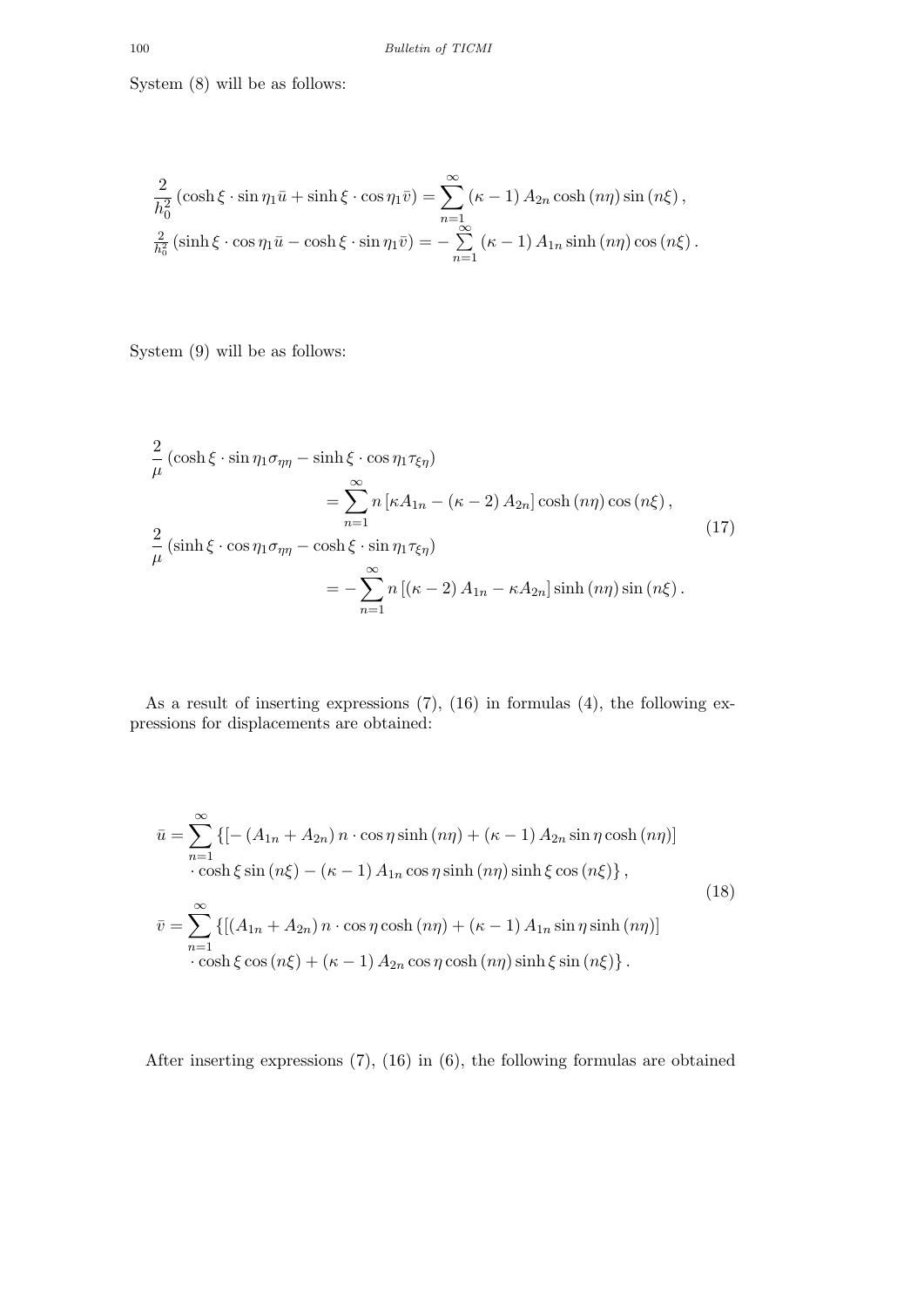System (8) will be as follows:

$$
\frac{2}{h_0^2} \left( \cosh \xi \cdot \sin \eta_1 \bar{u} + \sinh \xi \cdot \cos \eta_1 \bar{v} \right) = \sum_{n=1}^{\infty} (\kappa - 1) A_{2n} \cosh (n\eta) \sin (n\xi),
$$
  

$$
\frac{2}{h_0^2} \left( \sinh \xi \cdot \cos \eta_1 \bar{u} - \cosh \xi \cdot \sin \eta_1 \bar{v} \right) = -\sum_{n=1}^{\infty} (\kappa - 1) A_{1n} \sinh (n\eta) \cos (n\xi).
$$

System (9) will be as follows:

$$
\frac{2}{\mu} \left( \cosh \xi \cdot \sin \eta_1 \sigma_{\eta \eta} - \sinh \xi \cdot \cos \eta_1 \tau_{\xi \eta} \right)
$$
\n
$$
= \sum_{n=1}^{\infty} n \left[ \kappa A_{1n} - (\kappa - 2) A_{2n} \right] \cosh (n\eta) \cos (n\xi),
$$
\n
$$
\frac{2}{\mu} \left( \sinh \xi \cdot \cos \eta_1 \sigma_{\eta \eta} - \cosh \xi \cdot \sin \eta_1 \tau_{\xi \eta} \right)
$$
\n
$$
= -\sum_{n=1}^{\infty} n \left[ (\kappa - 2) A_{1n} - \kappa A_{2n} \right] \sinh (n\eta) \sin (n\xi).
$$
\n(17)

As a result of inserting expressions (7), (16) in formulas (4), the following expressions for displacements are obtained:

$$
\bar{u} = \sum_{n=1}^{\infty} \left\{ \left[ -\left( A_{1n} + A_{2n} \right) n \cdot \cos \eta \sinh \left( n\eta \right) + \left( \kappa - 1 \right) A_{2n} \sin \eta \cosh \left( n\eta \right) \right] \right\} \cdot \cosh \xi \sin \left( n\xi \right) - \left( \kappa - 1 \right) A_{1n} \cos \eta \sinh \left( n\eta \right) \sinh \xi \cos \left( n\xi \right) \right\},
$$
\n
$$
\bar{v} = \sum_{n=1}^{\infty} \left\{ \left[ \left( A_{1n} + A_{2n} \right) n \cdot \cos \eta \cosh \left( n\eta \right) + \left( \kappa - 1 \right) A_{1n} \sin \eta \sinh \left( n\eta \right) \right] \right. \cdot \cosh \xi \cos \left( n\xi \right) + \left( \kappa - 1 \right) A_{2n} \cos \eta \cosh \left( n\eta \right) \sinh \xi \sin \left( n\xi \right) \right\}.
$$
\n(18)

After inserting expressions (7), (16) in (6), the following formulas are obtained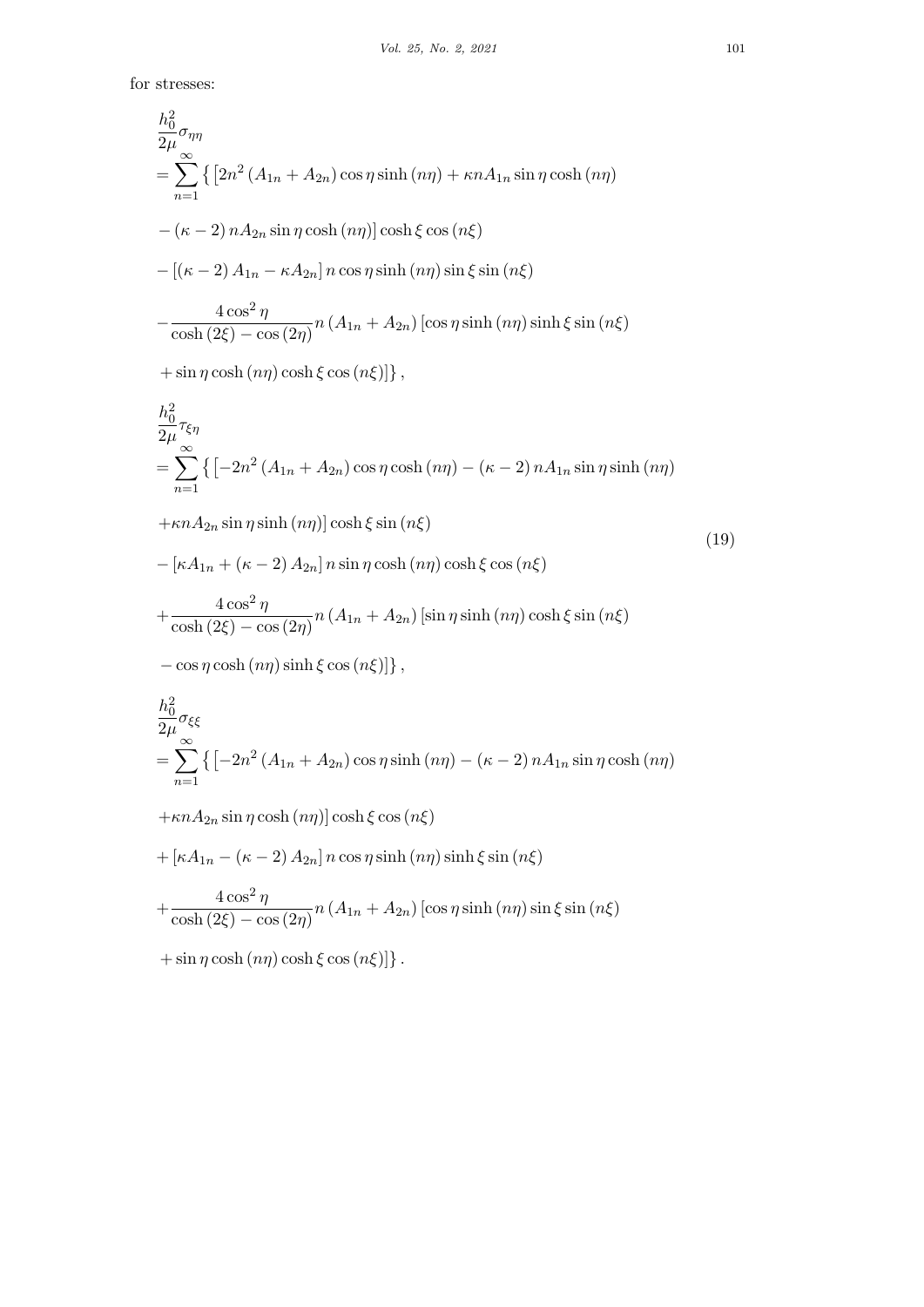for stresses:

$$
\frac{h_0^2}{2\mu} \sigma_{\eta\eta}
$$
\n
$$
= \sum_{n=1}^{N} \left\{ \left[ 2n^2 (A_{1n} + A_{2n}) \cos \eta \sinh (n\eta) + \kappa n A_{1n} \sin \eta \cosh (n\eta) \right] - (\kappa - 2) n A_{2n} \sin \eta \cosh (n\eta) \right\} \cosh \xi \cos (n\xi)
$$
\n
$$
- [(\kappa - 2) A_{1n} - \kappa A_{2n}] n \cos \eta \sinh (n\eta) \sin \xi \sin (n\xi)
$$
\n
$$
- \frac{4 \cos^2 \eta}{\cosh (2\xi) - \cos (2\eta)} n (A_{1n} + A_{2n}) [\cos \eta \sinh (n\eta) \sinh \xi \sin (n\xi)
$$
\n
$$
+ \sin \eta \cosh (n\eta) \cosh \xi \cos (n\xi)] \right\},
$$
\n
$$
\frac{h_0^2}{2\mu} \tau_{\xi\eta}
$$
\n
$$
= \sum_{n=1}^{N} \left\{ \left[ -2n^2 (A_{1n} + A_{2n}) \cos \eta \cosh (n\eta) - (\kappa - 2) n A_{1n} \sin \eta \sinh (n\eta) \right] + \kappa n A_{2n} \sin \eta \sinh (n\eta) [\cosh \xi \sin (n\xi)]
$$
\n
$$
- [\kappa A_{1n} + (\kappa - 2) A_{2n}] n \sin \eta \cosh (n\eta) \cosh \xi \cos (n\xi)
$$
\n
$$
+ \frac{4 \cos^2 \eta}{\cosh (2\xi) - \cosh (2\xi)} n (A_{1n} + A_{2n}) [\sin \eta \sinh (n\eta) \cosh \xi \sin (n\xi)]
$$

$$
- [\kappa A_{1n} + (\kappa - 2) A_{2n}] n \sin \eta \cosh (n\eta) \cosh \xi \cos (n\xi)
$$
  
+ 
$$
\frac{4 \cos^2 \eta}{\cosh (2\xi) - \cos (2\eta)} n (A_{1n} + A_{2n}) [\sin \eta \sinh (n\eta) \cosh \xi \sin (n\xi)
$$
  
- 
$$
\cos \eta \cosh (n\eta) \sinh \xi \cos (n\xi)] \},
$$

$$
\frac{h_0^2}{2\mu} \sigma_{\xi\xi}
$$
\n
$$
= \sum_{n=1}^{\infty} \left\{ \left[ -2n^2 \left( A_{1n} + A_{2n} \right) \cos \eta \sinh \left( n\eta \right) - \left( \kappa - 2 \right) n A_{1n} \sin \eta \cosh \left( n\eta \right) \right] \right\}
$$

+*κnA*2*<sup>n</sup>* sin *η* cosh (*nη*)] cosh *ξ* cos (*nξ*)

+ 
$$
\left[\kappa A_{1n} - \left(\kappa - 2\right) A_{2n}\right] n \cos \eta \sinh\left(n\eta\right) \sinh \xi \sin\left(n\xi\right)
$$
  
+  $\frac{4 \cos^2 \eta}{\cosh\left(2\xi\right) - \cos\left(2\eta\right)} n \left(A_{1n} + A_{2n}\right) \left[\cos \eta \sinh\left(n\eta\right) \sin \xi \sin\left(n\xi\right)\right]$ 

 $+ \sin \eta \cosh (n\eta) \cosh \xi \cos (n\xi)]$ }.

(19)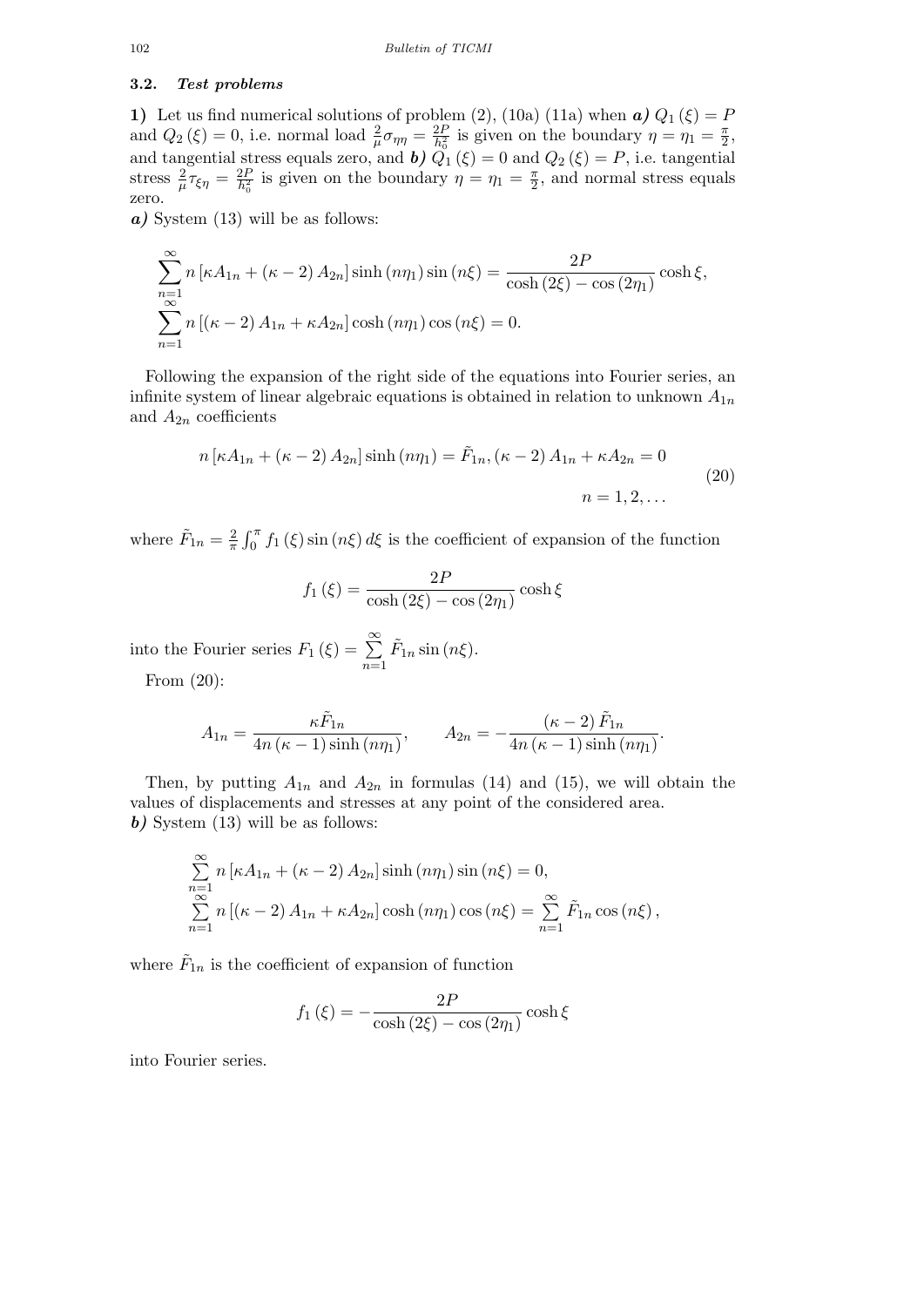### **3.2.** *Test problems*

**1)** Let us find numerical solutions of problem (2), (10a) (11a) when  $\boldsymbol{a}$ )  $Q_1(\xi) = P$ and  $Q_2(\xi) = 0$ , i.e. normal load  $\frac{2}{\mu}\sigma_{\eta\eta} = \frac{2F}{h_0^2}$  $\frac{2P}{h_0^2}$  is given on the boundary  $\eta = \eta_1 = \frac{\pi}{2}$  $\frac{\pi}{2}$ and tangential stress equals zero, and **b**)  $Q_1(\xi) = 0$  and  $Q_2(\xi) = P$ , i.e. tangential stress  $\frac{2}{\mu}\tau_{\xi\eta} = \frac{2F}{h_0^2}$  $\frac{2P}{h_0^2}$  is given on the boundary  $\eta = \eta_1 = \frac{\pi}{2}$  $\frac{\pi}{2}$ , and normal stress equals zero.

*a*) System (13) will be as follows:

$$
\sum_{n=1}^{\infty} n \left[ \kappa A_{1n} + (\kappa - 2) A_{2n} \right] \sinh(n\eta_1) \sin(n\xi) = \frac{2P}{\cosh(2\xi) - \cos(2\eta_1)} \cosh\xi,
$$
  

$$
\sum_{n=1}^{\infty} n \left[ (\kappa - 2) A_{1n} + \kappa A_{2n} \right] \cosh(n\eta_1) \cos(n\xi) = 0.
$$

Following the expansion of the right side of the equations into Fourier series, an infinite system of linear algebraic equations is obtained in relation to unknown  $A_{1n}$ and  $A_{2n}$  coefficients

$$
n\left[\kappa A_{1n} + (\kappa - 2) A_{2n}\right] \sinh\left(n\eta_1\right) = \tilde{F}_{1n}, \left(\kappa - 2\right) A_{1n} + \kappa A_{2n} = 0
$$
\n
$$
n = 1, 2, \dots
$$
\n(20)

where  $\tilde{F}_{1n} = \frac{2}{\pi}$  $\frac{2}{\pi} \int_0^{\pi} f_1(\xi) \sin(n\xi) d\xi$  is the coefficient of expansion of the function

$$
f_1(\xi) = \frac{2P}{\cosh(2\xi) - \cos(2\eta_1)} \cosh\xi
$$

into the Fourier series  $F_1(\xi) = \sum_{n=1}^{\infty}$ *n*=1  $\tilde{F}_{1n}$  sin  $(n\xi)$ . From (20):

> $A_{1n} =$  $\kappa \tilde{F}_{1n}$  $\frac{4n}{4n(\kappa-1)\sinh{(n\eta_1)}}, \qquad A_{2n} = (\kappa - 2) \tilde{F}_{1n}$  $\frac{(n-2)^{2} \ln n}{4n (\kappa-1) \sinh{(n\eta_1)}}$

Then, by putting  $A_{1n}$  and  $A_{2n}$  in formulas (14) and (15), we will obtain the values of displacements and stresses at any point of the considered area. *b)* System (13) will be as follows:

$$
\sum_{n=1}^{\infty} n \left[ \kappa A_{1n} + (\kappa - 2) A_{2n} \right] \sinh(n\eta_1) \sin(n\xi) = 0,
$$
  

$$
\sum_{n=1}^{\infty} n \left[ (\kappa - 2) A_{1n} + \kappa A_{2n} \right] \cosh(n\eta_1) \cos(n\xi) = \sum_{n=1}^{\infty} \tilde{F}_{1n} \cos(n\xi),
$$

where  $\tilde{F}_{1n}$  is the coefficient of expansion of function

$$
f_1(\xi) = -\frac{2P}{\cosh(2\xi) - \cos(2\eta_1)}\cosh\xi
$$

into Fourier series.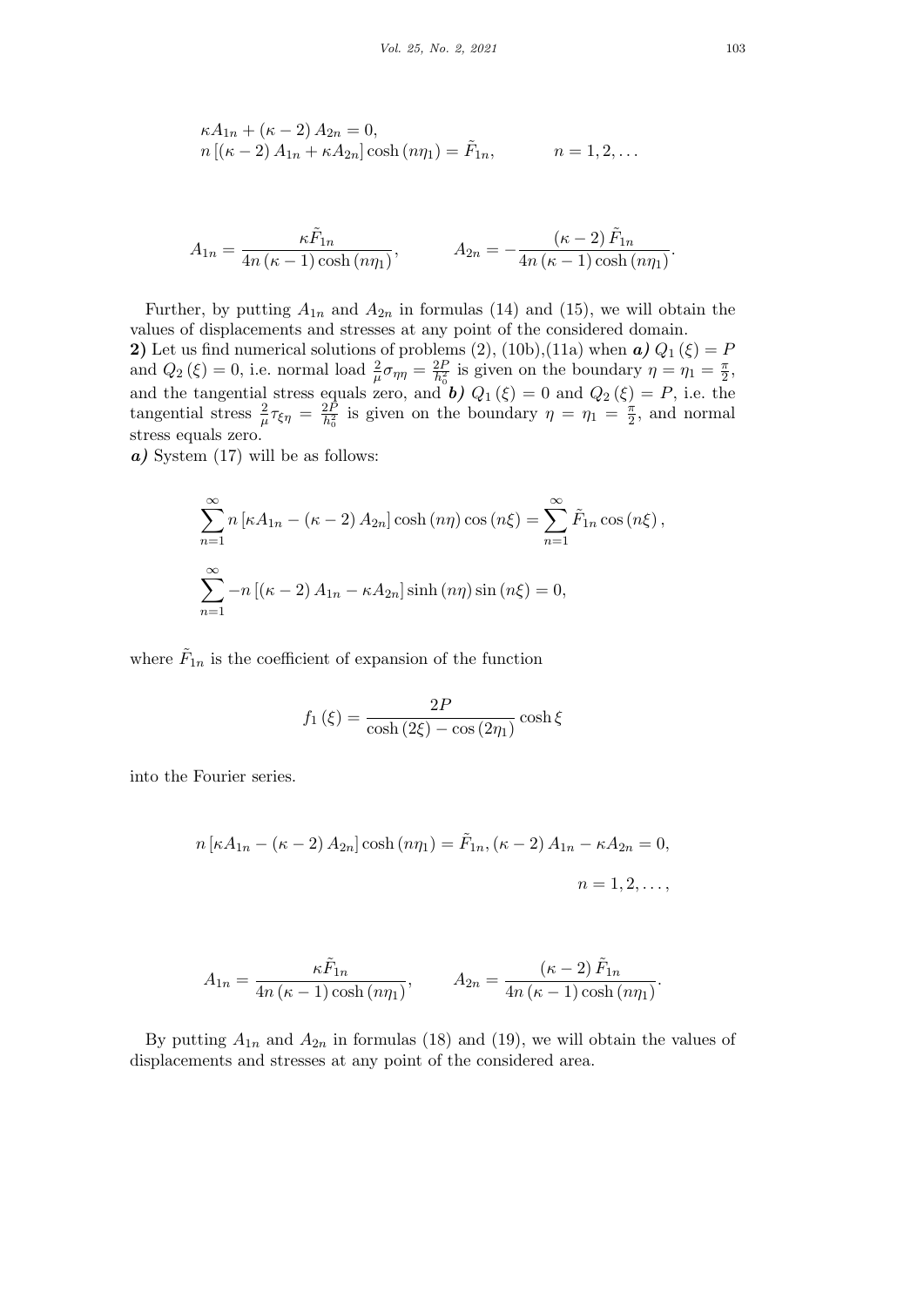$$
\kappa A_{1n} + (\kappa - 2) A_{2n} = 0,n [(\kappa - 2) A_{1n} + \kappa A_{2n}] \cosh (n\eta_1) = \tilde{F}_{1n}, \qquad n = 1, 2, ...
$$

$$
A_{1n} = \frac{\kappa \tilde{F}_{1n}}{4n(\kappa - 1)\cosh(n\eta_1)}, \qquad A_{2n} = -\frac{(\kappa - 2)\tilde{F}_{1n}}{4n(\kappa - 1)\cosh(n\eta_1)}.
$$

Further, by putting  $A_{1n}$  and  $A_{2n}$  in formulas (14) and (15), we will obtain the values of displacements and stresses at any point of the considered domain. **2)** Let us find numerical solutions of problems (2), (10b),(11a) when  $\boldsymbol{a}$ )  $Q_1(\xi) = P$ and  $Q_2(\xi) = 0$ , i.e. normal load  $\frac{2}{\mu}\sigma_{\eta\eta} = \frac{2F}{h_0^2}$  $\frac{2P}{h_0^2}$  is given on the boundary  $\eta = \eta_1 = \frac{\pi}{2}$  $\frac{\pi}{2}$ and the tangential stress equals zero, and *b*)  $Q_1(\xi) = 0$  and  $Q_2(\xi) = P$ , i.e. the tangential stress  $\frac{2}{\mu} \tau_{\xi \eta} = \frac{2P}{h_0^2}$  $\frac{2P}{h_0^2}$  is given on the boundary  $\eta = \eta_1 = \frac{\pi}{2}$  $\frac{\pi}{2}$ , and normal stress equals zero.

*a*) System (17) will be as follows:

$$
\sum_{n=1}^{\infty} n \left[ \kappa A_{1n} - (\kappa - 2) A_{2n} \right] \cosh(n\eta) \cos(n\xi) = \sum_{n=1}^{\infty} \tilde{F}_{1n} \cos(n\xi),
$$
  

$$
\sum_{n=1}^{\infty} -n \left[ (\kappa - 2) A_{1n} - \kappa A_{2n} \right] \sinh(n\eta) \sin(n\xi) = 0,
$$

where  $\tilde{F}_{1n}$  is the coefficient of expansion of the function

$$
f_1(\xi) = \frac{2P}{\cosh(2\xi) - \cos(2\eta_1)}\cosh\xi
$$

into the Fourier series.

$$
n [\kappa A_{1n} - (\kappa - 2) A_{2n}] \cosh (n\eta_1) = \tilde{F}_{1n}, (\kappa - 2) A_{1n} - \kappa A_{2n} = 0,
$$
  

$$
n = 1, 2, ...,
$$

$$
A_{1n} = \frac{\kappa \tilde{F}_{1n}}{4n(\kappa - 1)\cosh(n\eta_1)}, \qquad A_{2n} = \frac{(\kappa - 2)\tilde{F}_{1n}}{4n(\kappa - 1)\cosh(n\eta_1)}.
$$

By putting  $A_{1n}$  and  $A_{2n}$  in formulas (18) and (19), we will obtain the values of displacements and stresses at any point of the considered area.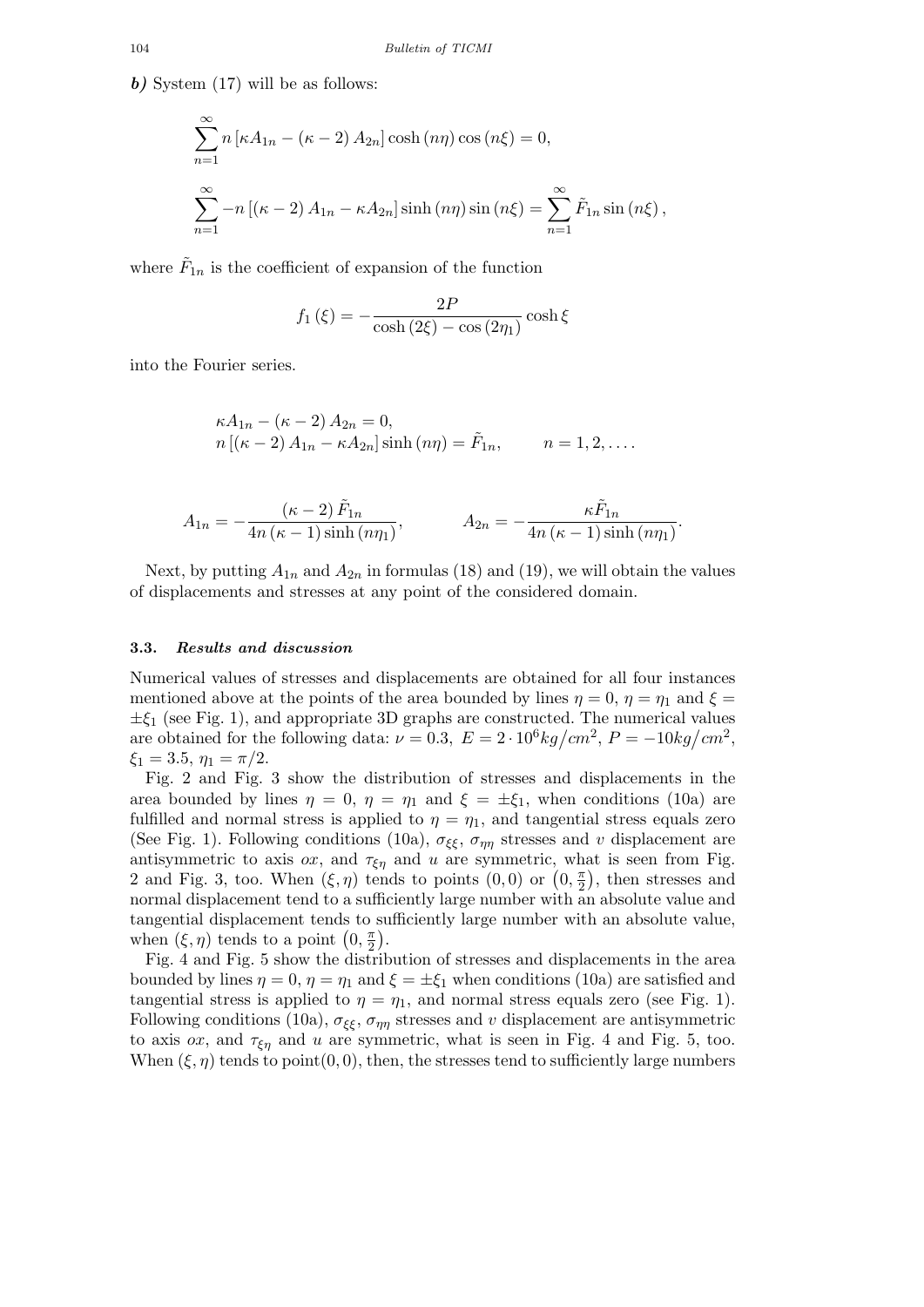*b)* System (17) will be as follows:

$$
\sum_{n=1}^{\infty} n \left[ \kappa A_{1n} - (\kappa - 2) A_{2n} \right] \cosh(n\eta) \cos(n\xi) = 0,
$$
  

$$
\sum_{n=1}^{\infty} -n \left[ (\kappa - 2) A_{1n} - \kappa A_{2n} \right] \sinh(n\eta) \sin(n\xi) = \sum_{n=1}^{\infty} \tilde{F}_{1n} \sin(n\xi),
$$

where  $\tilde{F}_{1n}$  is the coefficient of expansion of the function

$$
f_1(\xi) = -\frac{2P}{\cosh(2\xi) - \cos(2\eta_1)}\cosh\xi
$$

into the Fourier series.

$$
\kappa A_{1n} - (\kappa - 2) A_{2n} = 0,n [(\kappa - 2) A_{1n} - \kappa A_{2n}] \sinh (n\eta) = \tilde{F}_{1n}, \qquad n = 1, 2, ....
$$

$$
A_{1n} = -\frac{(\kappa - 2) \tilde{F}_{1n}}{4n (\kappa - 1) \sinh(n\eta_1)}, \qquad A_{2n} = -\frac{\kappa \tilde{F}_{1n}}{4n (\kappa - 1) \sinh(n\eta_1)}.
$$

Next, by putting  $A_{1n}$  and  $A_{2n}$  in formulas (18) and (19), we will obtain the values of displacements and stresses at any point of the considered domain.

#### **3.3.** *Results and discussion*

Numerical values of stresses and displacements are obtained for all four instances mentioned above at the points of the area bounded by lines  $\eta = 0$ ,  $\eta = \eta_1$  and  $\xi =$ *±ξ*<sup>1</sup> (see Fig. 1), and appropriate 3D graphs are constructed. The numerical values are obtained for the following data:  $\nu = 0.3, E = 2 \cdot 10^6 kg/cm^2, P = -10kg/cm^2$ ,  $\xi_1 = 3.5, \eta_1 = \pi/2.$ 

Fig. 2 and Fig. 3 show the distribution of stresses and displacements in the area bounded by lines  $\eta = 0$ ,  $\eta = \eta_1$  and  $\xi = \pm \xi_1$ , when conditions (10a) are fulfilled and normal stress is applied to  $\eta = \eta_1$ , and tangential stress equals zero (See Fig. 1). Following conditions (10a),  $\sigma_{\xi\xi}$ ,  $\sigma_{\eta\eta}$  stresses and *v* displacement are antisymmetric to axis *ox*, and  $\tau_{\xi\eta}$  and *u* are symmetric, what is seen from Fig. 2 and Fig. 3, too. When  $(\xi, \eta)$  tends to points  $(0, 0)$  or  $(0, \frac{\pi}{2})$  $(\frac{\pi}{2})$ , then stresses and normal displacement tend to a sufficiently large number with an absolute value and tangential displacement tends to sufficiently large number with an absolute value, when  $(\xi, \eta)$  tends to a point  $(0, \frac{\pi}{2})$  $\frac{\pi}{2}$ .

Fig. 4 and Fig. 5 show the distribution of stresses and displacements in the area bounded by lines  $\eta = 0$ ,  $\eta = \eta_1$  and  $\xi = \pm \xi_1$  when conditions (10a) are satisfied and tangential stress is applied to  $\eta = \eta_1$ , and normal stress equals zero (see Fig. 1). Following conditions (10a),  $\sigma_{\xi\xi}$ ,  $\sigma_{\eta\eta}$  stresses and *v* displacement are antisymmetric to axis  $\alpha x$ , and  $\tau_{\xi \eta}$  and *u* are symmetric, what is seen in Fig. 4 and Fig. 5, too. When  $(\xi, \eta)$  tends to point $(0, 0)$ , then, the stresses tend to sufficiently large numbers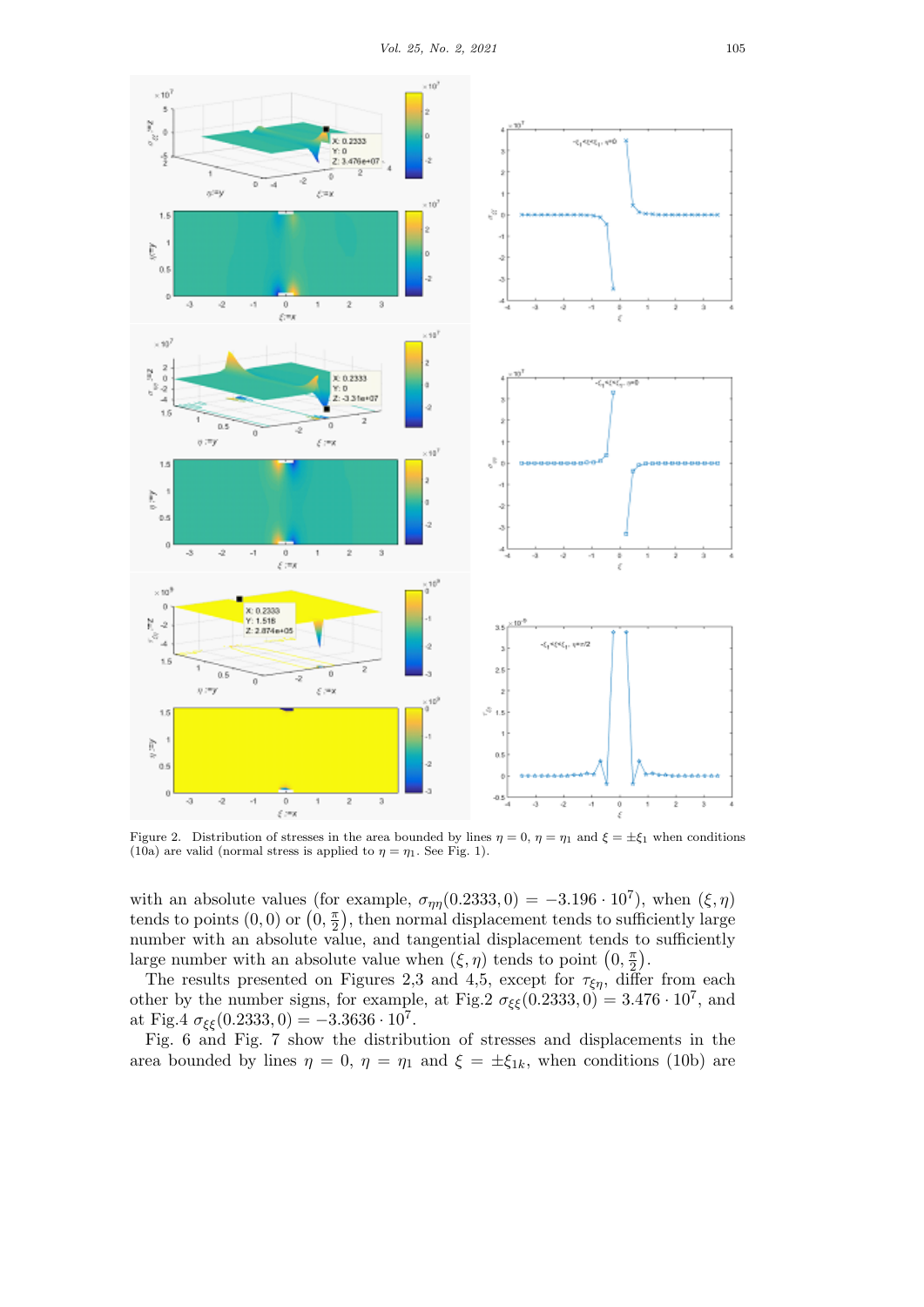

Figure 2. Distribution of stresses in the area bounded by lines  $\eta = 0$ ,  $\eta = \eta_1$  and  $\xi = \pm \xi_1$  when conditions (10a) are valid (normal stress is applied to  $\eta = \eta_1$ . See Fig. 1).

with an absolute values (for example,  $\sigma_{\eta\eta}(0.2333, 0) = -3.196 \cdot 10^7$ ), when  $(\xi, \eta)$ tends to points  $(0,0)$  or  $(0, \frac{\pi}{2})$  $(\frac{\pi}{2})$ , then normal displacement tends to sufficiently large number with an absolute value, and tangential displacement tends to sufficiently large number with an absolute value when  $(\xi, \eta)$  tends to point  $(0, \frac{\pi}{2})$  $\frac{\pi}{2}$ .

The results presented on Figures 2,3 and 4,5, except for  $\tau_{\xi\eta}$ , differ from each other by the number signs, for example, at Fig.2  $\sigma_{\xi\xi}(0.2333, 0) = 3.476 \cdot 10^7$ , and at Fig.4  $\sigma_{\xi\xi}(0.2333, 0) = -3.3636 \cdot 10^7$ .

Fig. 6 and Fig. 7 show the distribution of stresses and displacements in the area bounded by lines  $\eta = 0$ ,  $\eta = \eta_1$  and  $\xi = \pm \xi_{1k}$ , when conditions (10b) are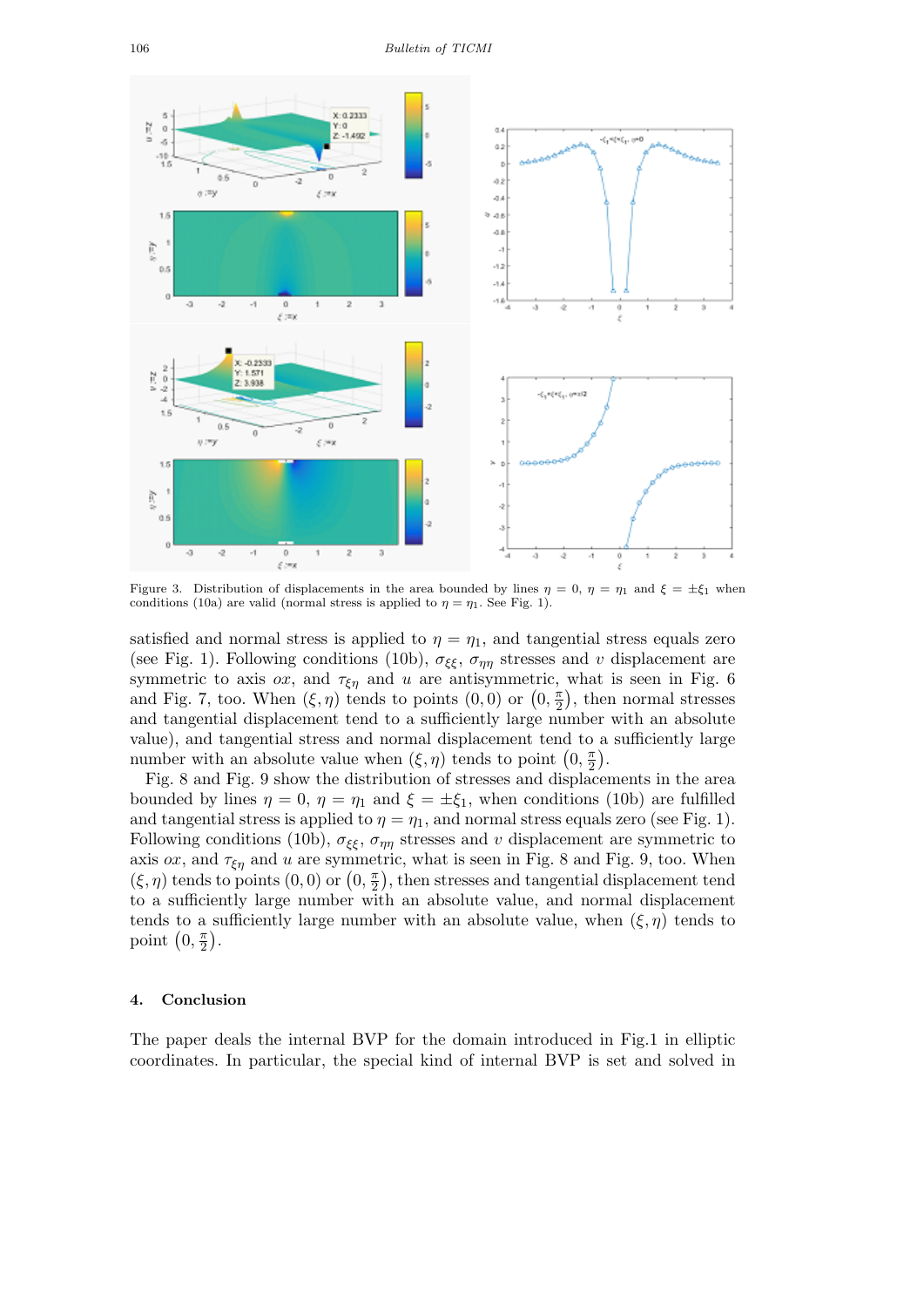

Figure 3. Distribution of displacements in the area bounded by lines  $\eta = 0$ ,  $\eta = \eta_1$  and  $\xi = \pm \xi_1$  when conditions (10a) are valid (normal stress is applied to  $\eta = \eta_1$ . See Fig. 1).

satisfied and normal stress is applied to  $\eta = \eta_1$ , and tangential stress equals zero (see Fig. 1). Following conditions (10b),  $\sigma_{\xi\xi}$ ,  $\sigma_{\eta\eta}$  stresses and *v* displacement are symmetric to axis  $\alpha x$ , and  $\tau_{\xi \eta}$  and  $u$  are antisymmetric, what is seen in Fig. 6 and Fig. 7, too. When  $(\xi, \eta)$  tends to points  $(0,0)$  or  $(0, \frac{\pi}{2})$  $(\frac{\pi}{2})$ , then normal stresses and tangential displacement tend to a sufficiently large number with an absolute value), and tangential stress and normal displacement tend to a sufficiently large number with an absolute value when  $(\xi, \eta)$  tends to point  $(0, \frac{\pi}{2})$  $\frac{\pi}{2}$ .

Fig. 8 and Fig. 9 show the distribution of stresses and displacements in the area bounded by lines  $\eta = 0$ ,  $\eta = \eta_1$  and  $\xi = \pm \xi_1$ , when conditions (10b) are fulfilled and tangential stress is applied to  $\eta = \eta_1$ , and normal stress equals zero (see Fig. 1). Following conditions (10b),  $\sigma_{\xi\xi}$ ,  $\sigma_{\eta\eta}$  stresses and *v* displacement are symmetric to axis *ox*, and  $\tau_{\xi_n}$  and *u* are symmetric, what is seen in Fig. 8 and Fig. 9, too. When  $(\xi, \eta)$  tends to points  $(0, 0)$  or  $(0, \frac{\pi}{2})$  $\frac{\pi}{2}$ , then stresses and tangential displacement tend to a sufficiently large number with an absolute value, and normal displacement tends to a sufficiently large number with an absolute value, when  $(\xi, \eta)$  tends to point  $(0, \frac{\pi}{2})$  $\frac{\pi}{2}$ .

### **4. Conclusion**

The paper deals the internal BVP for the domain introduced in Fig.1 in elliptic coordinates. In particular, the special kind of internal BVP is set and solved in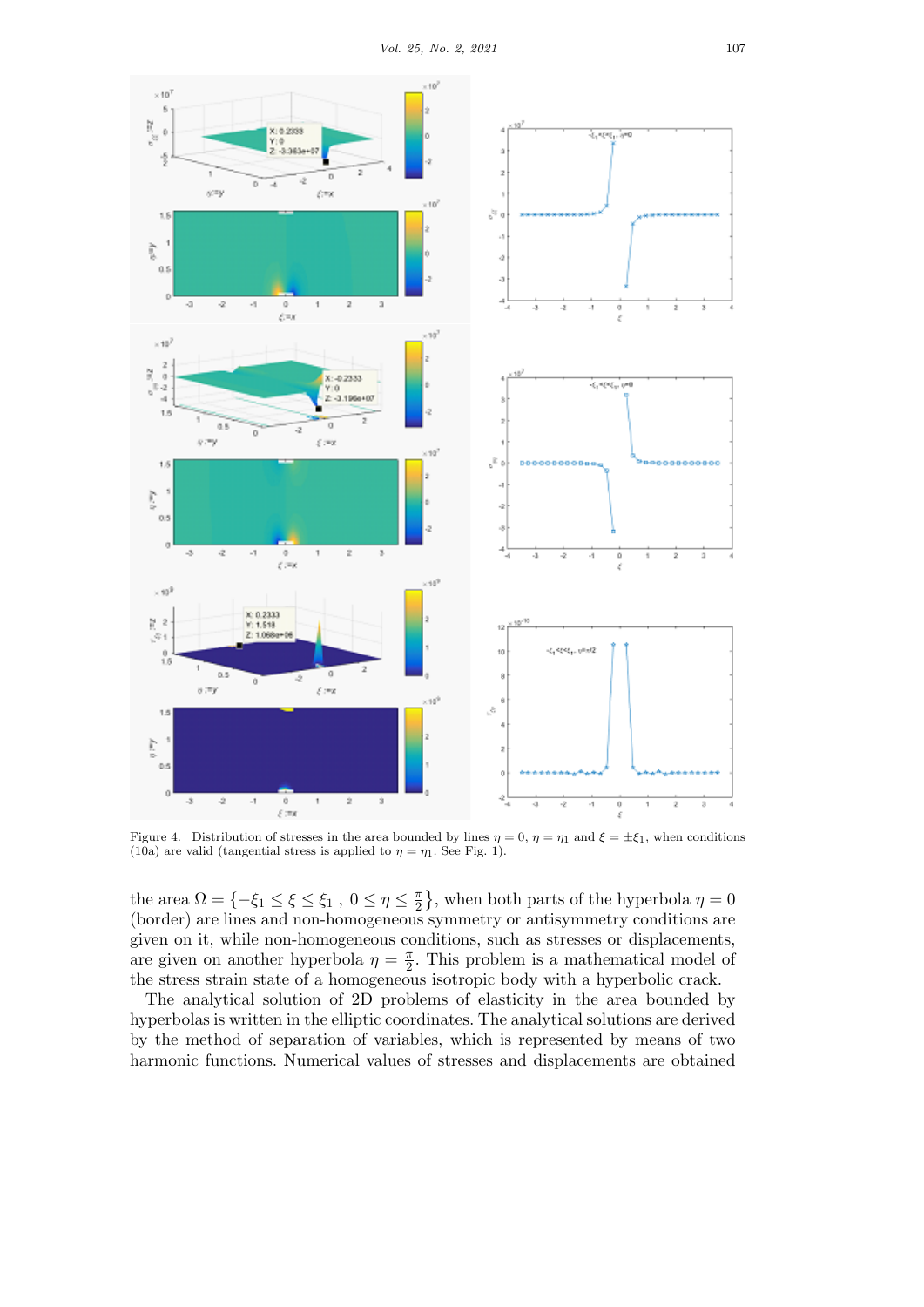

Figure 4. Distribution of stresses in the area bounded by lines  $\eta = 0$ ,  $\eta = \eta_1$  and  $\xi = \pm \xi_1$ , when conditions (10a) are valid (tangential stress is applied to  $\eta = \eta_1$ . See Fig. 1).

the area  $\Omega = \{-\xi_1 \leq \xi \leq \xi_1, 0 \leq \eta \leq \frac{\pi}{2}\}$  $\frac{\pi}{2}$ , when both parts of the hyperbola  $\eta = 0$ (border) are lines and non-homogeneous symmetry or antisymmetry conditions are given on it, while non-homogeneous conditions, such as stresses or displacements, are given on another hyperbola  $\eta = \frac{\pi}{2}$  $\frac{\pi}{2}$ . This problem is a mathematical model of the stress strain state of a homogeneous isotropic body with a hyperbolic crack.

The analytical solution of 2D problems of elasticity in the area bounded by hyperbolas is written in the elliptic coordinates. The analytical solutions are derived by the method of separation of variables, which is represented by means of two harmonic functions. Numerical values of stresses and displacements are obtained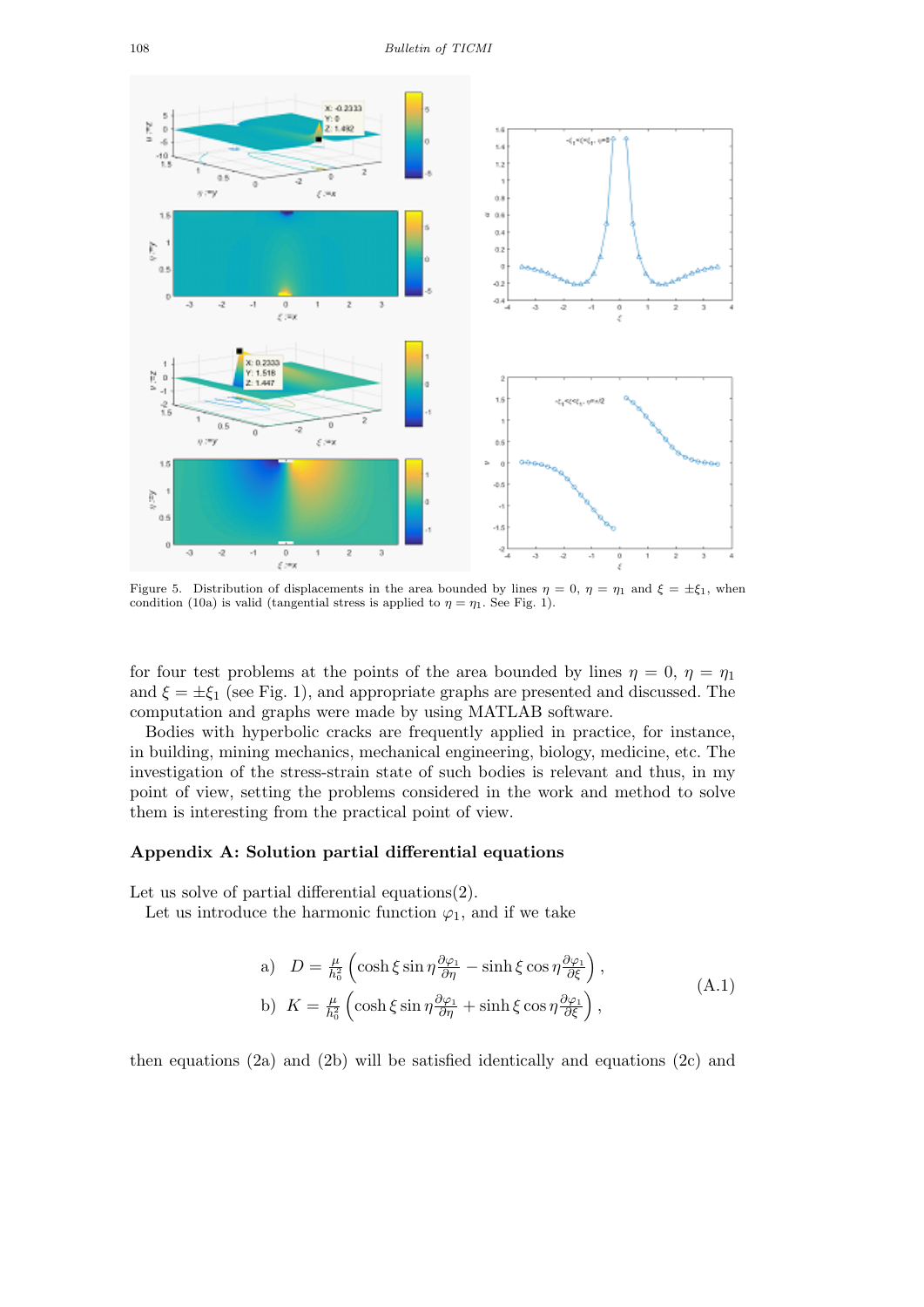

Figure 5. Distribution of displacements in the area bounded by lines  $\eta = 0$ ,  $\eta = \eta_1$  and  $\xi = \pm \xi_1$ , when condition (10a) is valid (tangential stress is applied to  $\eta = \eta_1$ . See Fig. 1).

for four test problems at the points of the area bounded by lines  $\eta = 0$ ,  $\eta = \eta_1$ and  $\xi = \pm \xi_1$  (see Fig. 1), and appropriate graphs are presented and discussed. The computation and graphs were made by using MATLAB software.

Bodies with hyperbolic cracks are frequently applied in practice, for instance, in building, mining mechanics, mechanical engineering, biology, medicine, etc. The investigation of the stress-strain state of such bodies is relevant and thus, in my point of view, setting the problems considered in the work and method to solve them is interesting from the practical point of view.

### **Appendix A: Solution partial differential equations**

Let us solve of partial differential equations(2).

Let us introduce the harmonic function  $\varphi_1$ , and if we take

a) 
$$
D = \frac{\mu}{h_0^2} \left( \cosh \xi \sin \eta \frac{\partial \varphi_1}{\partial \eta} - \sinh \xi \cos \eta \frac{\partial \varphi_1}{\partial \xi} \right),
$$
  
b) 
$$
K = \frac{\mu}{h_0^2} \left( \cosh \xi \sin \eta \frac{\partial \varphi_1}{\partial \eta} + \sinh \xi \cos \eta \frac{\partial \varphi_1}{\partial \xi} \right),
$$
 (A.1)

then equations  $(2a)$  and  $(2b)$  will be satisfied identically and equations  $(2c)$  and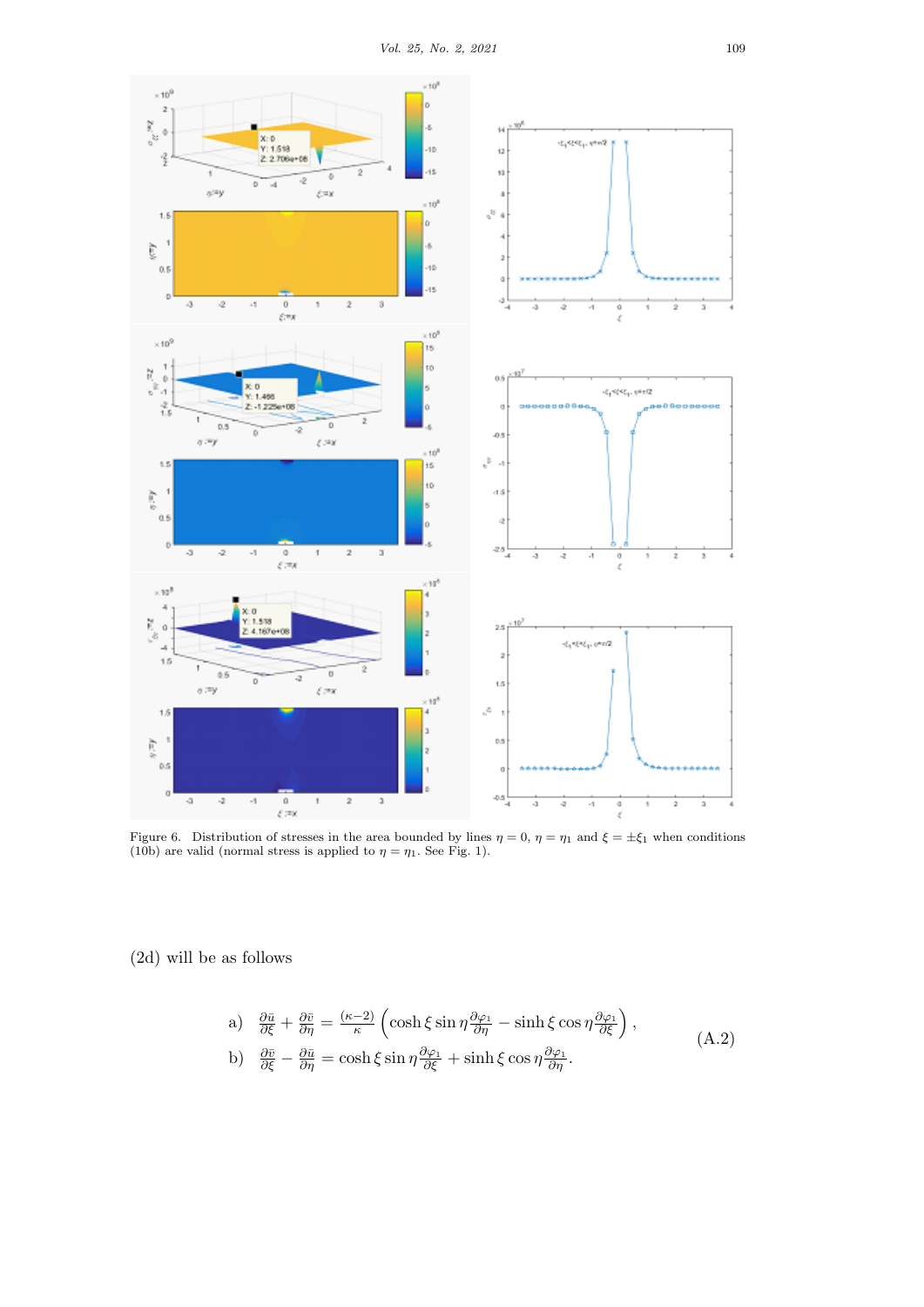

Figure 6. Distribution of stresses in the area bounded by lines  $\eta = 0$ ,  $\eta = \eta_1$  and  $\xi = \pm \xi_1$  when conditions (10b) are valid (normal stress is applied to  $\eta = \eta_1$ . See Fig. 1).

(2d) will be as follows

a) 
$$
\frac{\partial \bar{u}}{\partial \xi} + \frac{\partial \bar{v}}{\partial \eta} = \frac{(\kappa - 2)}{\kappa} \left( \cosh \xi \sin \eta \frac{\partial \varphi_1}{\partial \eta} - \sinh \xi \cos \eta \frac{\partial \varphi_1}{\partial \xi} \right),
$$
  
\nb)  $\frac{\partial \bar{v}}{\partial \xi} - \frac{\partial \bar{u}}{\partial \eta} = \cosh \xi \sin \eta \frac{\partial \varphi_1}{\partial \xi} + \sinh \xi \cos \eta \frac{\partial \varphi_1}{\partial \eta}.$  (A.2)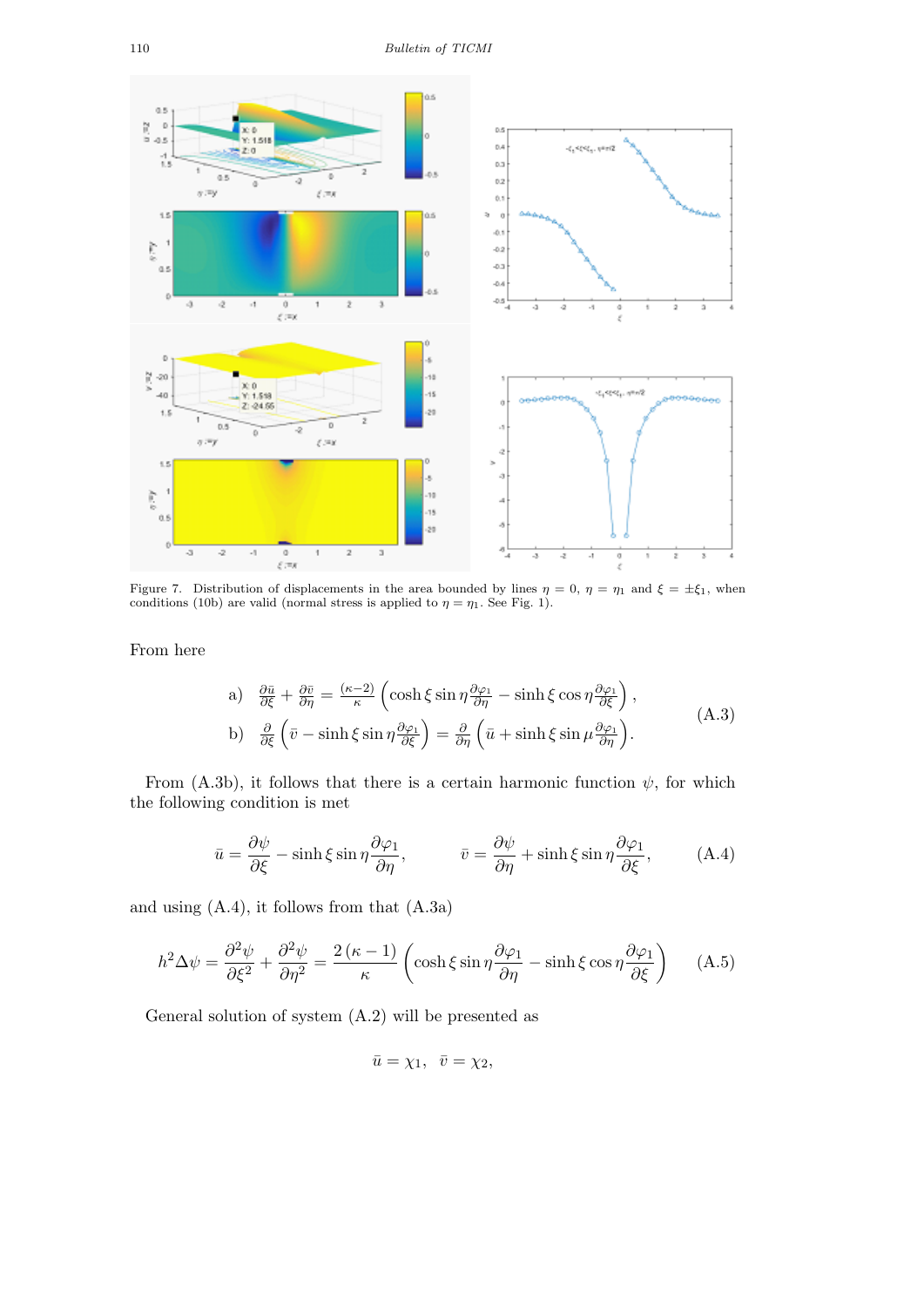

Figure 7. Distribution of displacements in the area bounded by lines  $\eta = 0$ ,  $\eta = \eta_1$  and  $\xi = \pm \xi_1$ , when conditions (10b) are valid (normal stress is applied to  $\eta = \eta_1$ . See Fig. 1).

From here

a) 
$$
\frac{\partial \bar{u}}{\partial \xi} + \frac{\partial \bar{v}}{\partial \eta} = \frac{(\kappa - 2)}{\kappa} \left( \cosh \xi \sin \eta \frac{\partial \varphi_1}{\partial \eta} - \sinh \xi \cos \eta \frac{\partial \varphi_1}{\partial \xi} \right),
$$
  
b) 
$$
\frac{\partial}{\partial \xi} \left( \bar{v} - \sinh \xi \sin \eta \frac{\partial \varphi_1}{\partial \xi} \right) = \frac{\partial}{\partial \eta} \left( \bar{u} + \sinh \xi \sin \mu \frac{\partial \varphi_1}{\partial \eta} \right).
$$
 (A.3)

From (A.3b), it follows that there is a certain harmonic function  $\psi$ , for which the following condition is met

$$
\bar{u} = \frac{\partial \psi}{\partial \xi} - \sinh \xi \sin \eta \frac{\partial \varphi_1}{\partial \eta}, \qquad \bar{v} = \frac{\partial \psi}{\partial \eta} + \sinh \xi \sin \eta \frac{\partial \varphi_1}{\partial \xi}, \qquad (A.4)
$$

and using (A.4), it follows from that (A.3a)

$$
h^2 \Delta \psi = \frac{\partial^2 \psi}{\partial \xi^2} + \frac{\partial^2 \psi}{\partial \eta^2} = \frac{2(\kappa - 1)}{\kappa} \left( \cosh \xi \sin \eta \frac{\partial \varphi_1}{\partial \eta} - \sinh \xi \cos \eta \frac{\partial \varphi_1}{\partial \xi} \right) \tag{A.5}
$$

General solution of system (A.2) will be presented as

 $\bar{u} = \chi_1, \ \bar{v} = \chi_2,$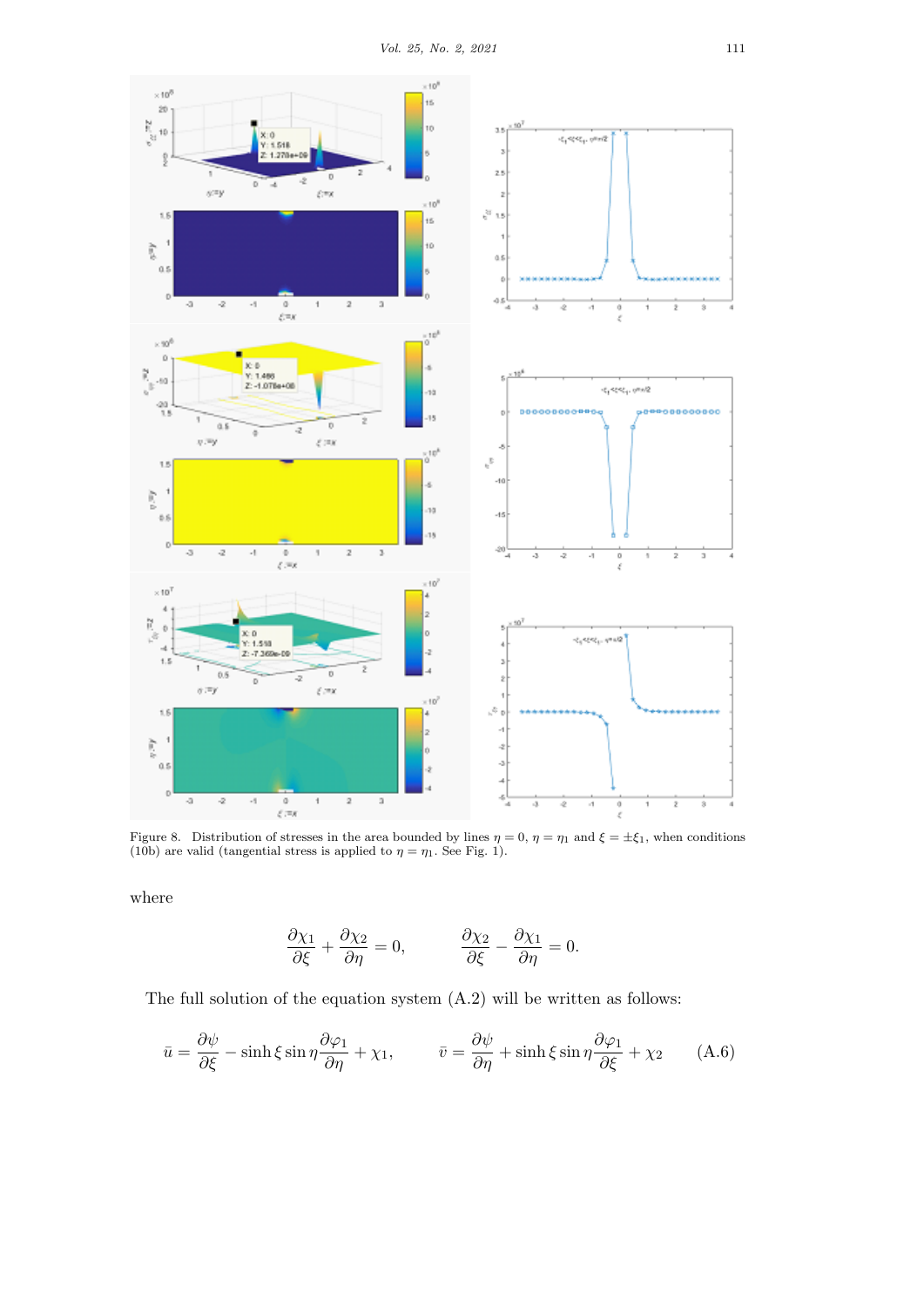

Figure 8. Distribution of stresses in the area bounded by lines  $\eta = 0$ ,  $\eta = \eta_1$  and  $\xi = \pm \xi_1$ , when conditions (10b) are valid (tangential stress is applied to  $\eta = \eta_1$ . See Fig. 1).

where

$$
\frac{\partial \chi_1}{\partial \xi} + \frac{\partial \chi_2}{\partial \eta} = 0, \qquad \frac{\partial \chi_2}{\partial \xi} - \frac{\partial \chi_1}{\partial \eta} = 0.
$$

The full solution of the equation system (A.2) will be written as follows:

$$
\bar{u} = \frac{\partial \psi}{\partial \xi} - \sinh \xi \sin \eta \frac{\partial \varphi_1}{\partial \eta} + \chi_1, \qquad \bar{v} = \frac{\partial \psi}{\partial \eta} + \sinh \xi \sin \eta \frac{\partial \varphi_1}{\partial \xi} + \chi_2 \qquad (A.6)
$$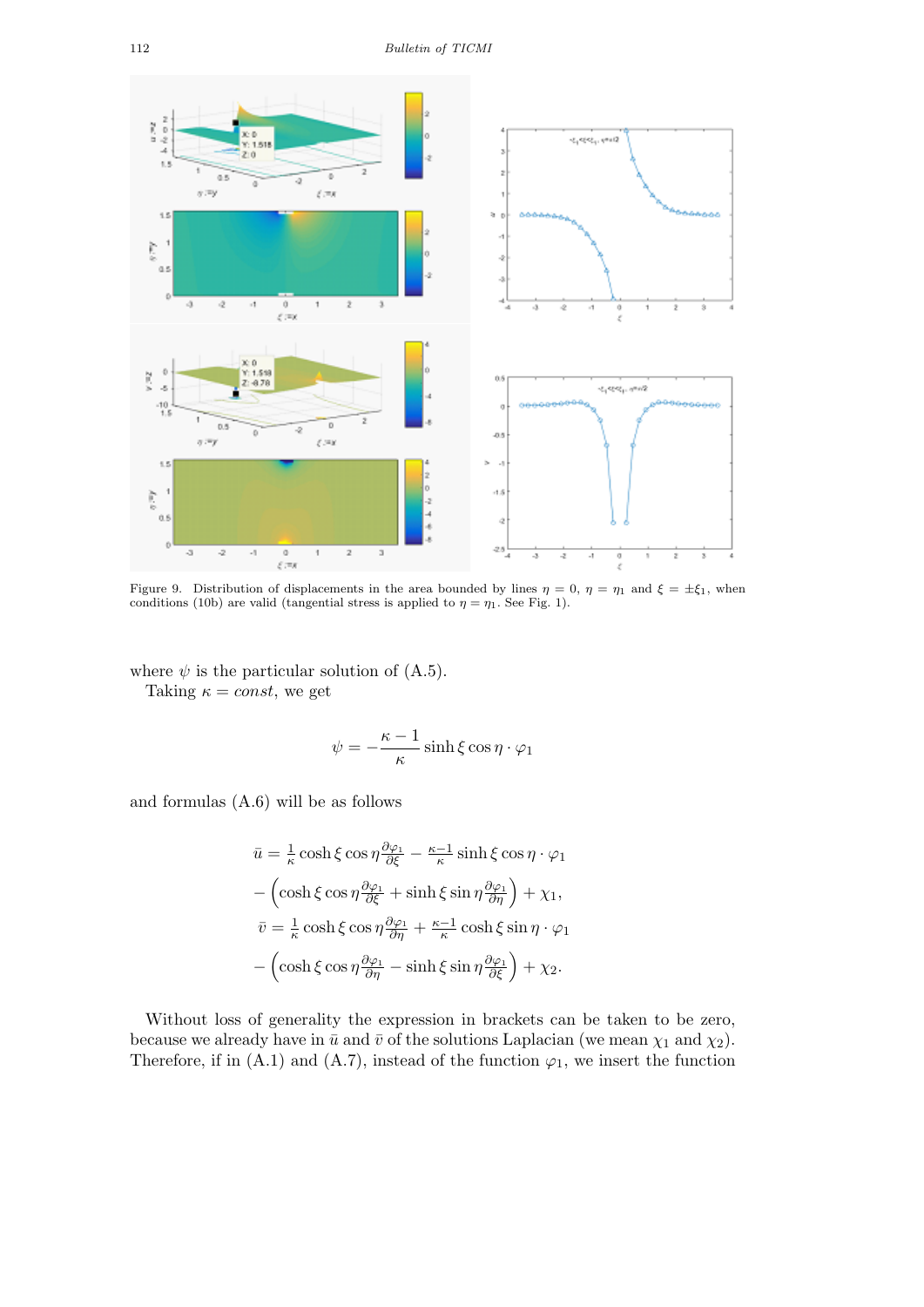

Figure 9. Distribution of displacements in the area bounded by lines  $\eta = 0$ ,  $\eta = \eta_1$  and  $\xi = \pm \xi_1$ , when conditions (10b) are valid (tangential stress is applied to  $\eta = \eta_1$ . See Fig. 1).

where  $\psi$  is the particular solution of  $(A.5)$ . Taking  $\kappa = const$ , we get

$$
\psi = -\frac{\kappa - 1}{\kappa} \sinh \xi \cos \eta \cdot \varphi_1
$$

and formulas (A.6) will be as follows

$$
\bar{u} = \frac{1}{\kappa} \cosh \xi \cos \eta \frac{\partial \varphi_1}{\partial \xi} - \frac{\kappa - 1}{\kappa} \sinh \xi \cos \eta \cdot \varphi_1
$$

$$
- \left( \cosh \xi \cos \eta \frac{\partial \varphi_1}{\partial \xi} + \sinh \xi \sin \eta \frac{\partial \varphi_1}{\partial \eta} \right) + \chi_1,
$$

$$
\bar{v} = \frac{1}{\kappa} \cosh \xi \cos \eta \frac{\partial \varphi_1}{\partial \eta} + \frac{\kappa - 1}{\kappa} \cosh \xi \sin \eta \cdot \varphi_1
$$

$$
- \left( \cosh \xi \cos \eta \frac{\partial \varphi_1}{\partial \eta} - \sinh \xi \sin \eta \frac{\partial \varphi_1}{\partial \xi} \right) + \chi_2.
$$

Without loss of generality the expression in brackets can be taken to be zero, because we already have in  $\bar{u}$  and  $\bar{v}$  of the solutions Laplacian (we mean  $\chi_1$  and  $\chi_2$ ). Therefore, if in  $(A.1)$  and  $(A.7)$ , instead of the function  $\varphi_1$ , we insert the function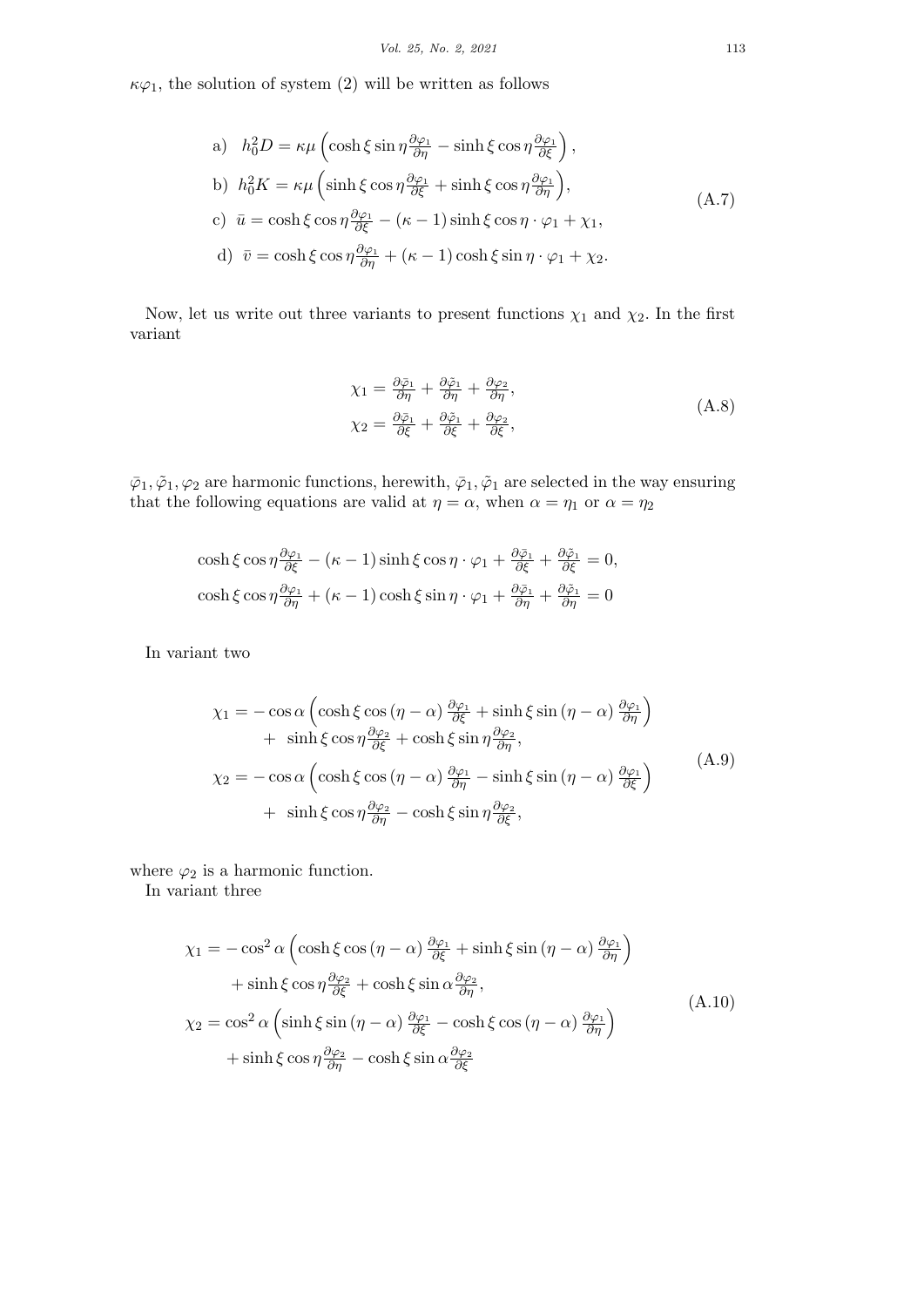$\kappa \varphi_1$ , the solution of system (2) will be written as follows

a) 
$$
h_0^2 D = \kappa \mu \left( \cosh \xi \sin \eta \frac{\partial \varphi_1}{\partial \eta} - \sinh \xi \cos \eta \frac{\partial \varphi_1}{\partial \xi} \right),
$$
  
\nb)  $h_0^2 K = \kappa \mu \left( \sinh \xi \cos \eta \frac{\partial \varphi_1}{\partial \xi} + \sinh \xi \cos \eta \frac{\partial \varphi_1}{\partial \eta} \right),$   
\nc)  $\bar{u} = \cosh \xi \cos \eta \frac{\partial \varphi_1}{\partial \xi} - (\kappa - 1) \sinh \xi \cos \eta \cdot \varphi_1 + \chi_1,$   
\nd)  $\bar{v} = \cosh \xi \cos \eta \frac{\partial \varphi_1}{\partial \eta} + (\kappa - 1) \cosh \xi \sin \eta \cdot \varphi_1 + \chi_2.$  (A.7)

Now, let us write out three variants to present functions  $\chi_1$  and  $\chi_2$ . In the first variant

$$
\begin{aligned} \chi_1 &= \frac{\partial \bar{\varphi}_1}{\partial \eta} + \frac{\partial \bar{\varphi}_1}{\partial \eta} + \frac{\partial \varphi_2}{\partial \eta}, \\ \chi_2 &= \frac{\partial \bar{\varphi}_1}{\partial \xi} + \frac{\partial \bar{\varphi}_1}{\partial \xi} + \frac{\partial \varphi_2}{\partial \xi}, \end{aligned} \tag{A.8}
$$

 $\bar{\varphi}_1, \tilde{\varphi}_1, \varphi_2$  are harmonic functions, herewith,  $\bar{\varphi}_1, \tilde{\varphi}_1$  are selected in the way ensuring that the following equations are valid at  $\eta = \alpha$ , when  $\alpha = \eta_1$  or  $\alpha = \eta_2$ 

$$
\cosh \xi \cos \eta \frac{\partial \varphi_1}{\partial \xi} - (\kappa - 1) \sinh \xi \cos \eta \cdot \varphi_1 + \frac{\partial \bar{\varphi}_1}{\partial \xi} + \frac{\partial \bar{\varphi}_1}{\partial \xi} = 0,
$$
  

$$
\cosh \xi \cos \eta \frac{\partial \varphi_1}{\partial \eta} + (\kappa - 1) \cosh \xi \sin \eta \cdot \varphi_1 + \frac{\partial \bar{\varphi}_1}{\partial \eta} + \frac{\partial \bar{\varphi}_1}{\partial \eta} = 0
$$

In variant two

$$
\chi_1 = -\cos\alpha \left( \cosh\xi\cos(\eta - \alpha) \frac{\partial\varphi_1}{\partial\xi} + \sinh\xi\sin(\eta - \alpha) \frac{\partial\varphi_1}{\partial\eta} \right) \n+ \sinh\xi\cos\eta \frac{\partial\varphi_2}{\partial\xi} + \cosh\xi\sin\eta \frac{\partial\varphi_2}{\partial\eta}, \n\chi_2 = -\cos\alpha \left( \cosh\xi\cos(\eta - \alpha) \frac{\partial\varphi_1}{\partial\eta} - \sinh\xi\sin(\eta - \alpha) \frac{\partial\varphi_1}{\partial\xi} \right) \n+ \sinh\xi\cos\eta \frac{\partial\varphi_2}{\partial\eta} - \cosh\xi\sin\eta \frac{\partial\varphi_2}{\partial\xi},
$$
\n(A.9)

where  $\varphi_2$  is a harmonic function.

In variant three

$$
\chi_1 = -\cos^2 \alpha \left( \cosh \xi \cos (\eta - \alpha) \frac{\partial \varphi_1}{\partial \xi} + \sinh \xi \sin (\eta - \alpha) \frac{\partial \varphi_1}{\partial \eta} \right)
$$
  
+ 
$$
\sinh \xi \cos \eta \frac{\partial \varphi_2}{\partial \xi} + \cosh \xi \sin \alpha \frac{\partial \varphi_2}{\partial \eta},
$$
  

$$
\chi_2 = \cos^2 \alpha \left( \sinh \xi \sin (\eta - \alpha) \frac{\partial \varphi_1}{\partial \xi} - \cosh \xi \cos (\eta - \alpha) \frac{\partial \varphi_1}{\partial \eta} \right)
$$
  
+ 
$$
\sinh \xi \cos \eta \frac{\partial \varphi_2}{\partial \eta} - \cosh \xi \sin \alpha \frac{\partial \varphi_2}{\partial \xi}
$$
 (A.10)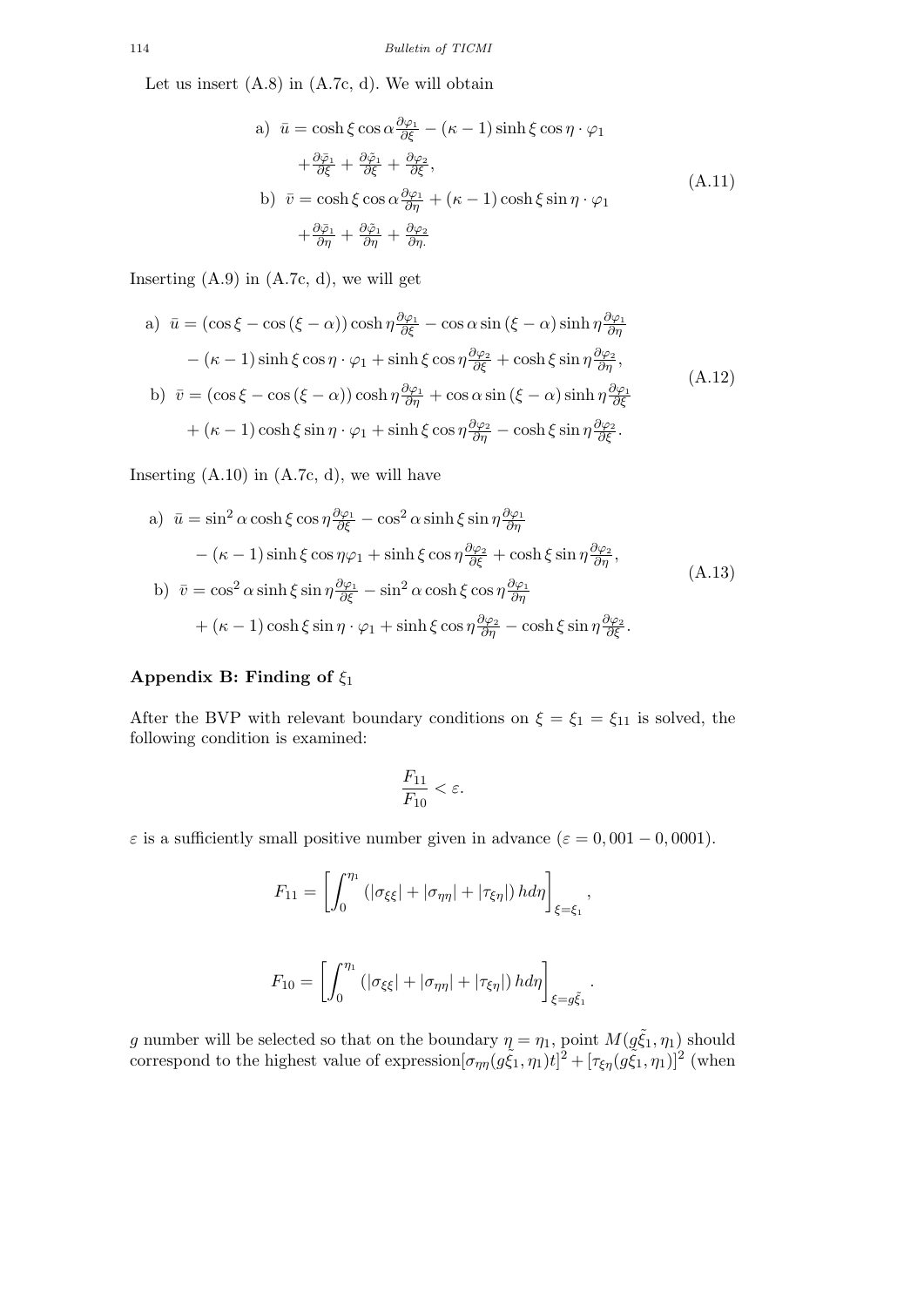Let us insert  $(A.8)$  in  $(A.7c, d)$ . We will obtain

a) 
$$
\bar{u} = \cosh \xi \cos \alpha \frac{\partial \varphi_1}{\partial \xi} - (\kappa - 1) \sinh \xi \cos \eta \cdot \varphi_1
$$
  
\t $+ \frac{\partial \bar{\varphi}_1}{\partial \xi} + \frac{\partial \bar{\varphi}_1}{\partial \xi} + \frac{\partial \varphi_2}{\partial \xi},$   
\nb)  $\bar{v} = \cosh \xi \cos \alpha \frac{\partial \varphi_1}{\partial \eta} + (\kappa - 1) \cosh \xi \sin \eta \cdot \varphi_1$   
\t $+ \frac{\partial \bar{\varphi}_1}{\partial \eta} + \frac{\partial \bar{\varphi}_1}{\partial \eta} + \frac{\partial \varphi_2}{\partial \eta}.$  (A.11)

Inserting  $(A.9)$  in  $(A.7c, d)$ , we will get

a) 
$$
\bar{u} = (\cos \xi - \cos (\xi - \alpha)) \cosh \eta \frac{\partial \varphi_1}{\partial \xi} - \cos \alpha \sin (\xi - \alpha) \sinh \eta \frac{\partial \varphi_1}{\partial \eta}
$$
  
\t $- (\kappa - 1) \sinh \xi \cos \eta \cdot \varphi_1 + \sinh \xi \cos \eta \frac{\partial \varphi_2}{\partial \xi} + \cosh \xi \sin \eta \frac{\partial \varphi_2}{\partial \eta},$   
\nb)  $\bar{v} = (\cos \xi - \cos (\xi - \alpha)) \cosh \eta \frac{\partial \varphi_1}{\partial \eta} + \cos \alpha \sin (\xi - \alpha) \sinh \eta \frac{\partial \varphi_1}{\partial \xi}$   
\t $+ (\kappa - 1) \cosh \xi \sin \eta \cdot \varphi_1 + \sinh \xi \cos \eta \frac{\partial \varphi_2}{\partial \eta} - \cosh \xi \sin \eta \frac{\partial \varphi_2}{\partial \xi}.$  (A.12)

Inserting  $(A.10)$  in  $(A.7c, d)$ , we will have

a) 
$$
\bar{u} = \sin^2 \alpha \cosh \xi \cos \eta \frac{\partial \varphi_1}{\partial \xi} - \cos^2 \alpha \sinh \xi \sin \eta \frac{\partial \varphi_1}{\partial \eta}
$$
  
\t $- (\kappa - 1) \sinh \xi \cos \eta \varphi_1 + \sinh \xi \cos \eta \frac{\partial \varphi_2}{\partial \xi} + \cosh \xi \sin \eta \frac{\partial \varphi_2}{\partial \eta}$ ,  
b)  $\bar{v} = \cos^2 \alpha \sinh \xi \sin \eta \frac{\partial \varphi_1}{\partial \xi} - \sin^2 \alpha \cosh \xi \cos \eta \frac{\partial \varphi_1}{\partial \eta}$   
\t $+ (\kappa - 1) \cosh \xi \sin \eta \cdot \varphi_1 + \sinh \xi \cos \eta \frac{\partial \varphi_2}{\partial \eta} - \cosh \xi \sin \eta \frac{\partial \varphi_2}{\partial \xi}$ . (A.13)

## **Appendix B: Finding of** *ξ*<sup>1</sup>

After the BVP with relevant boundary conditions on  $\xi = \xi_1 = \xi_{11}$  is solved, the following condition is examined:

$$
\frac{F_{11}}{F_{10}} < \varepsilon.
$$

*ε* is a sufficiently small positive number given in advance ( $\varepsilon = 0,001 - 0,0001$ ).

$$
F_{11} = \left[ \int_0^{\eta_1} \left( |\sigma_{\xi\xi}| + |\sigma_{\eta\eta}| + |\tau_{\xi\eta}| \right) h d\eta \right]_{\xi = \xi_1},
$$

$$
F_{10} = \left[ \int_0^{\eta_1} \left( |\sigma_{\xi\xi}| + |\sigma_{\eta\eta}| + |\tau_{\xi\eta}| \right) h d\eta \right]_{\xi = g\tilde{\xi}_1}.
$$

*g* number will be selected so that on the boundary  $\eta = \eta_1$ , point  $M(g\tilde{\xi}_1, \eta_1)$  should correspond to the highest value of expression $[\sigma_{\eta\eta}(g\tilde{\xi}_1,\eta_1)t]^2 + [\tau_{\xi\eta}(g\tilde{\xi}_1,\eta_1)]^2$  (when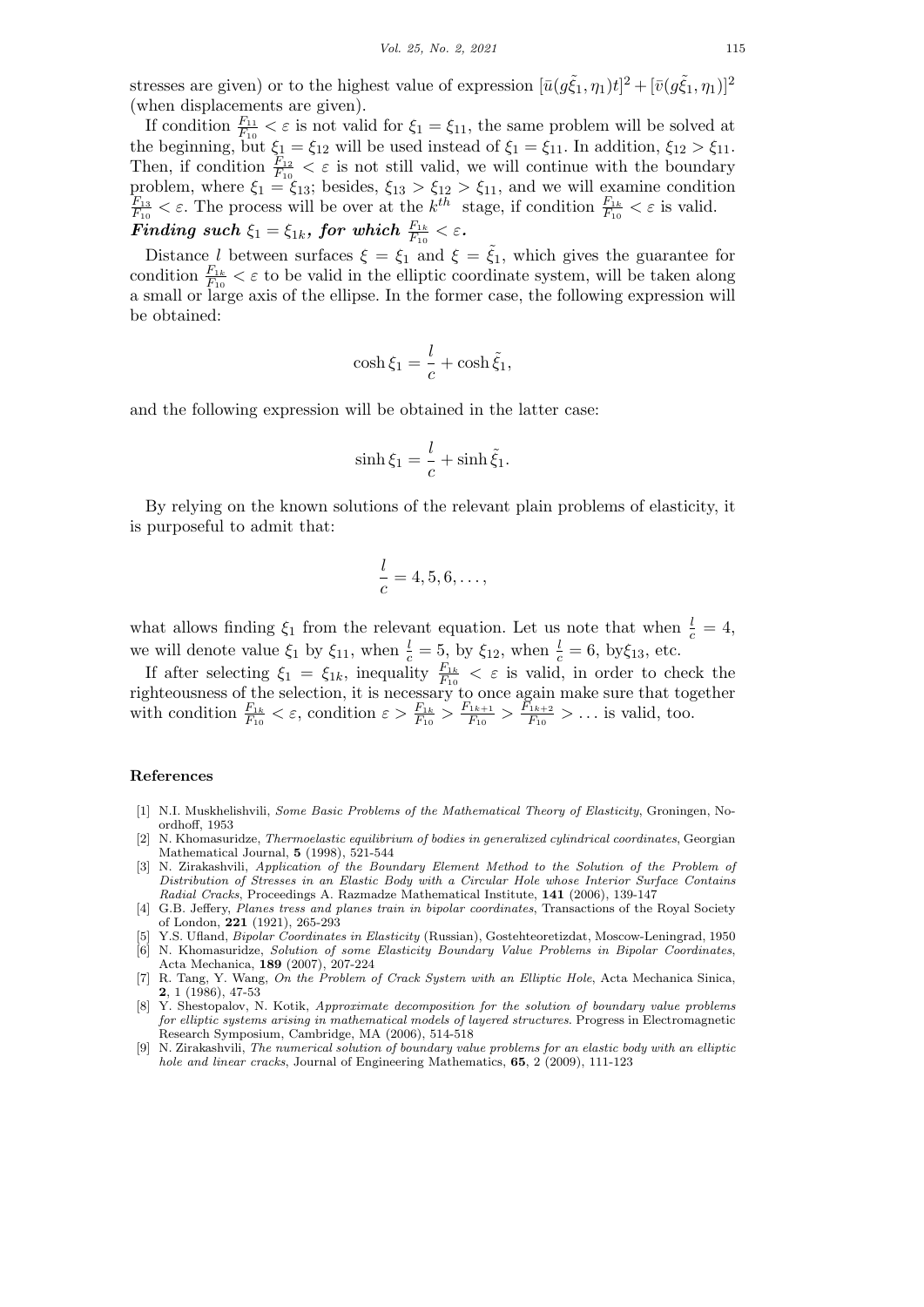stresses are given) or to the highest value of expression  $[\bar{u}(g\xi_1, \eta_1)t]^2 + [\bar{v}(g\xi_1, \eta_1)]^2$ (when displacements are given).

If condition  $\frac{F_{11}}{F_{10}} < \varepsilon$  is not valid for  $\xi_1 = \xi_{11}$ , the same problem will be solved at the beginning, but  $\xi_1 = \xi_{12}$  will be used instead of  $\xi_1 = \xi_{11}$ . In addition,  $\xi_{12} > \xi_{11}$ . Then, if condition  $\frac{F_{12}}{F_{10}} < \varepsilon$  is not still valid, we will continue with the boundary problem, where  $\xi_1 = \xi_{13}$ ; besides,  $\xi_{13} > \xi_{12} > \xi_{11}$ , and we will examine condition  $F_{13} < \varepsilon$ . The process will be over at the  $k^{th}$  stage if condition  $F_{1k} < \varepsilon$  is valid *F*<sub>13</sub>  $\lt \varepsilon$ . The process will be over at the *k*<sup>th</sup> stage, if condition  $\frac{F_{1k}}{F_{10}} \lt \varepsilon$  is valid.  $\boldsymbol{Finding \ such} \ \xi_1 = \xi_{1k}, \ \boldsymbol{for \ which} \ \frac{F_{1k}}{F_{10}} < \varepsilon$ .

Distance *l* between surfaces  $\xi = \xi_1$  and  $\xi = \tilde{\xi}_1$ , which gives the guarantee for condition  $\frac{F_{1k}}{F_{10}} < \varepsilon$  to be valid in the elliptic coordinate system, will be taken along a small or large axis of the ellipse. In the former case, the following expression will be obtained:

$$
\cosh \xi_1 = \frac{l}{c} + \cosh \tilde{\xi}_1,
$$

and the following expression will be obtained in the latter case:

$$
\sinh \xi_1 = \frac{l}{c} + \sinh \tilde{\xi}_1.
$$

By relying on the known solutions of the relevant plain problems of elasticity, it is purposeful to admit that:

$$
\frac{l}{c} = 4, 5, 6, \dots,
$$

what allows finding  $\xi_1$  from the relevant equation. Let us note that when  $\frac{l}{c} = 4$ , we will denote value  $\xi_1$  by  $\xi_{11}$ , when  $\frac{l}{c} = 5$ , by  $\xi_{12}$ , when  $\frac{l}{c} = 6$ , by  $\xi_{13}$ , etc.

If after selecting  $\xi_1 = \xi_{1k}$ , inequality  $\frac{F_{1k}}{F_{10}} < \varepsilon$  is valid, in order to check the righteousness of the selection, it is necessary to once again make sure that together with condition  $\frac{F_{1k}}{F_{10}} < \varepsilon$ , condition  $\varepsilon > \frac{F_{1k}}{F_{10}} > \frac{F_{1k+1}}{F_{10}}$  $\frac{F_{1k+1}}{F_{10}} > \frac{F_{1k+2}}{F_{10}}$  $\frac{f_{1k+2}}{F_{10}} > ...$  is valid, too.

#### **References**

- [1] N.I. Muskhelishvili, *Some Basic Problems of the Mathematical Theory of Elasticity*, Groningen, Noordhoff, 1953
- [2] N. Khomasuridze, *Thermoelastic equilibrium of bodies in generalized cylindrical coordinates*, Georgian Mathematical Journal, **5** (1998), 521-544
- [3] N. Zirakashvili, *Application of the Boundary Element Method to the Solution of the Problem of Distribution of Stresses in an Elastic Body with a Circular Hole whose Interior Surface Contains Radial Cracks*, Proceedings A. Razmadze Mathematical Institute, **141** (2006), 139-147
- [4] G.B. Jeffery, *Planes tress and planes train in bipolar coordinates*, Transactions of the Royal Society of London, **221** (1921), 265-293
- [5] Y.S. Ufland, *Bipolar Coordinates in Elasticity* (Russian), Gostehteoretizdat, Moscow-Leningrad, 1950
- [6] N. Khomasuridze, *Solution of some Elasticity Boundary Value Problems in Bipolar Coordinates*, Acta Mechanica, **189** (2007), 207-224
- [7] R. Tang, Y. Wang, *On the Problem of Crack System with an Elliptic Hole*, Acta Mechanica Sinica, **2**, 1 (1986), 47-53
- [8] Y. Shestopalov, N. Kotik, *Approximate decomposition for the solution of boundary value problems for elliptic systems arising in mathematical models of layered structures*. Progress in Electromagnetic Research Symposium, Cambridge, MA (2006), 514-518
- [9] N. Zirakashvili, *The numerical solution of boundary value problems for an elastic body with an elliptic hole and linear cracks*, Journal of Engineering Mathematics, **65**, 2 (2009), 111-123